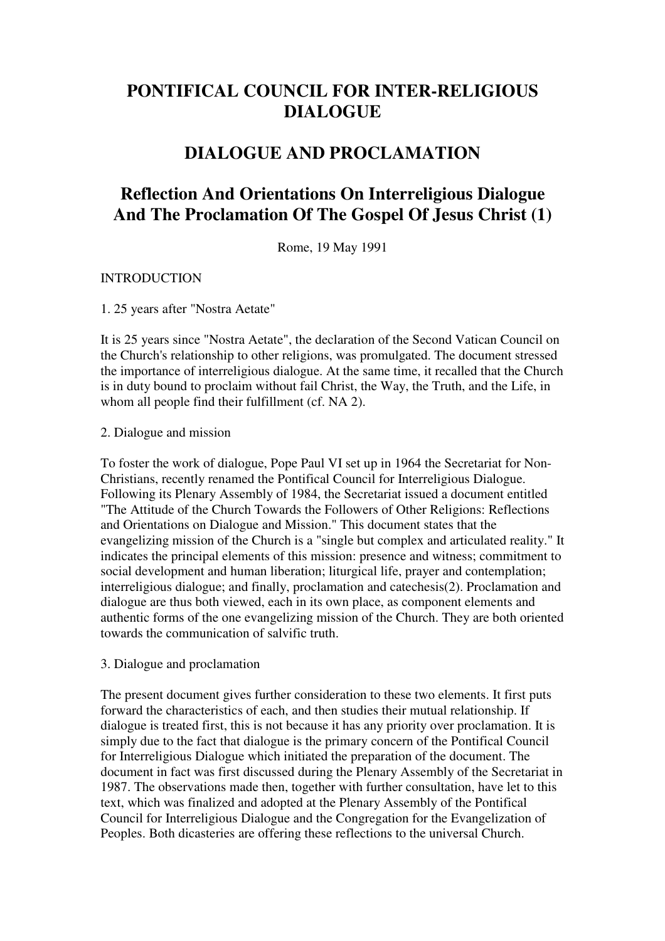# **PONTIFICAL COUNCIL FOR INTER-RELIGIOUS DIALOGUE**

# **DIALOGUE AND PROCLAMATION**

# **Reflection And Orientations On Interreligious Dialogue And The Proclamation Of The Gospel Of Jesus Christ (1)**

Rome, 19 May 1991

## **INTRODUCTION**

1. 25 years after "Nostra Aetate"

It is 25 years since "Nostra Aetate", the declaration of the Second Vatican Council on the Church's relationship to other religions, was promulgated. The document stressed the importance of interreligious dialogue. At the same time, it recalled that the Church is in duty bound to proclaim without fail Christ, the Way, the Truth, and the Life, in whom all people find their fulfillment (cf. NA 2).

#### 2. Dialogue and mission

To foster the work of dialogue, Pope Paul VI set up in 1964 the Secretariat for Non-Christians, recently renamed the Pontifical Council for Interreligious Dialogue. Following its Plenary Assembly of 1984, the Secretariat issued a document entitled "The Attitude of the Church Towards the Followers of Other Religions: Reflections and Orientations on Dialogue and Mission." This document states that the evangelizing mission of the Church is a "single but complex and articulated reality." It indicates the principal elements of this mission: presence and witness; commitment to social development and human liberation; liturgical life, prayer and contemplation; interreligious dialogue; and finally, proclamation and catechesis(2). Proclamation and dialogue are thus both viewed, each in its own place, as component elements and authentic forms of the one evangelizing mission of the Church. They are both oriented towards the communication of salvific truth.

#### 3. Dialogue and proclamation

The present document gives further consideration to these two elements. It first puts forward the characteristics of each, and then studies their mutual relationship. If dialogue is treated first, this is not because it has any priority over proclamation. It is simply due to the fact that dialogue is the primary concern of the Pontifical Council for Interreligious Dialogue which initiated the preparation of the document. The document in fact was first discussed during the Plenary Assembly of the Secretariat in 1987. The observations made then, together with further consultation, have let to this text, which was finalized and adopted at the Plenary Assembly of the Pontifical Council for Interreligious Dialogue and the Congregation for the Evangelization of Peoples. Both dicasteries are offering these reflections to the universal Church.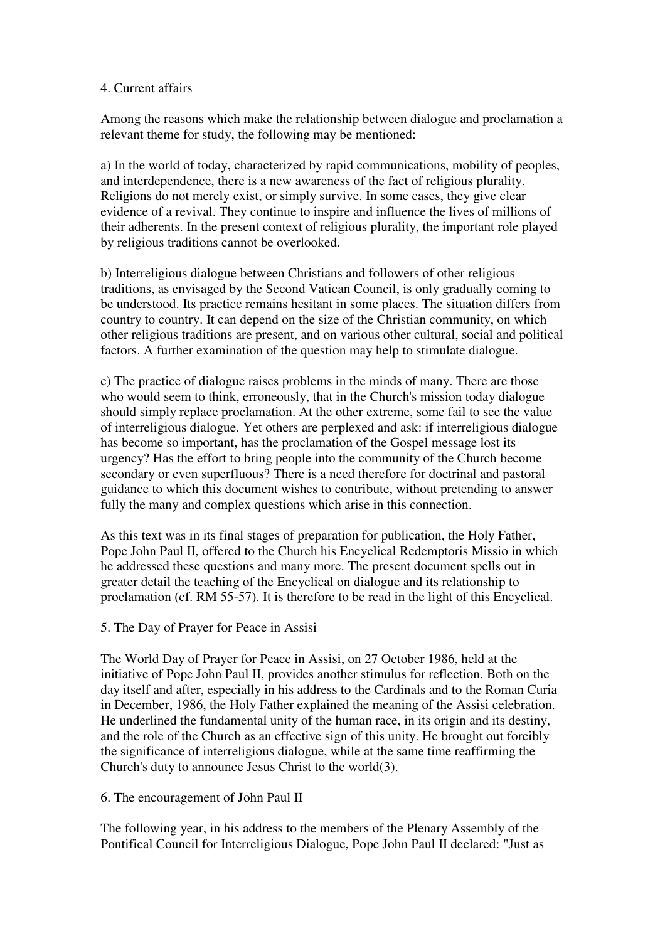## 4. Current affairs

Among the reasons which make the relationship between dialogue and proclamation a relevant theme for study, the following may be mentioned:

a) In the world of today, characterized by rapid communications, mobility of peoples, and interdependence, there is a new awareness of the fact of religious plurality. Religions do not merely exist, or simply survive. In some cases, they give clear evidence of a revival. They continue to inspire and influence the lives of millions of their adherents. In the present context of religious plurality, the important role played by religious traditions cannot be overlooked.

b) Interreligious dialogue between Christians and followers of other religious traditions, as envisaged by the Second Vatican Council, is only gradually coming to be understood. Its practice remains hesitant in some places. The situation differs from country to country. It can depend on the size of the Christian community, on which other religious traditions are present, and on various other cultural, social and political factors. A further examination of the question may help to stimulate dialogue.

c) The practice of dialogue raises problems in the minds of many. There are those who would seem to think, erroneously, that in the Church's mission today dialogue should simply replace proclamation. At the other extreme, some fail to see the value of interreligious dialogue. Yet others are perplexed and ask: if interreligious dialogue has become so important, has the proclamation of the Gospel message lost its urgency? Has the effort to bring people into the community of the Church become secondary or even superfluous? There is a need therefore for doctrinal and pastoral guidance to which this document wishes to contribute, without pretending to answer fully the many and complex questions which arise in this connection.

As this text was in its final stages of preparation for publication, the Holy Father, Pope John Paul II, offered to the Church his Encyclical Redemptoris Missio in which he addressed these questions and many more. The present document spells out in greater detail the teaching of the Encyclical on dialogue and its relationship to proclamation (cf. RM 55-57). It is therefore to be read in the light of this Encyclical.

## 5. The Day of Prayer for Peace in Assisi

The World Day of Prayer for Peace in Assisi, on 27 October 1986, held at the initiative of Pope John Paul II, provides another stimulus for reflection. Both on the day itself and after, especially in his address to the Cardinals and to the Roman Curia in December, 1986, the Holy Father explained the meaning of the Assisi celebration. He underlined the fundamental unity of the human race, in its origin and its destiny, and the role of the Church as an effective sign of this unity. He brought out forcibly the significance of interreligious dialogue, while at the same time reaffirming the Church's duty to announce Jesus Christ to the world(3).

## 6. The encouragement of John Paul II

The following year, in his address to the members of the Plenary Assembly of the Pontifical Council for Interreligious Dialogue, Pope John Paul II declared: "Just as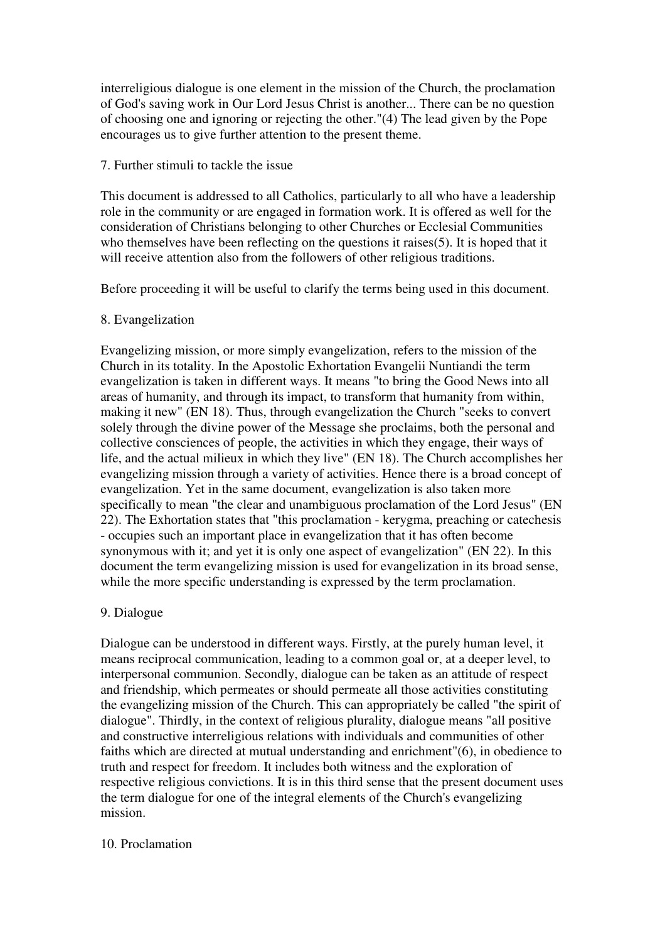interreligious dialogue is one element in the mission of the Church, the proclamation of God's saving work in Our Lord Jesus Christ is another... There can be no question of choosing one and ignoring or rejecting the other."(4) The lead given by the Pope encourages us to give further attention to the present theme.

## 7. Further stimuli to tackle the issue

This document is addressed to all Catholics, particularly to all who have a leadership role in the community or are engaged in formation work. It is offered as well for the consideration of Christians belonging to other Churches or Ecclesial Communities who themselves have been reflecting on the questions it raises(5). It is hoped that it will receive attention also from the followers of other religious traditions.

Before proceeding it will be useful to clarify the terms being used in this document.

# 8. Evangelization

Evangelizing mission, or more simply evangelization, refers to the mission of the Church in its totality. In the Apostolic Exhortation Evangelii Nuntiandi the term evangelization is taken in different ways. It means "to bring the Good News into all areas of humanity, and through its impact, to transform that humanity from within, making it new" (EN 18). Thus, through evangelization the Church "seeks to convert solely through the divine power of the Message she proclaims, both the personal and collective consciences of people, the activities in which they engage, their ways of life, and the actual milieux in which they live" (EN 18). The Church accomplishes her evangelizing mission through a variety of activities. Hence there is a broad concept of evangelization. Yet in the same document, evangelization is also taken more specifically to mean "the clear and unambiguous proclamation of the Lord Jesus" (EN 22). The Exhortation states that "this proclamation - kerygma, preaching or catechesis - occupies such an important place in evangelization that it has often become synonymous with it; and yet it is only one aspect of evangelization" (EN 22). In this document the term evangelizing mission is used for evangelization in its broad sense, while the more specific understanding is expressed by the term proclamation.

# 9. Dialogue

Dialogue can be understood in different ways. Firstly, at the purely human level, it means reciprocal communication, leading to a common goal or, at a deeper level, to interpersonal communion. Secondly, dialogue can be taken as an attitude of respect and friendship, which permeates or should permeate all those activities constituting the evangelizing mission of the Church. This can appropriately be called "the spirit of dialogue". Thirdly, in the context of religious plurality, dialogue means "all positive and constructive interreligious relations with individuals and communities of other faiths which are directed at mutual understanding and enrichment"(6), in obedience to truth and respect for freedom. It includes both witness and the exploration of respective religious convictions. It is in this third sense that the present document uses the term dialogue for one of the integral elements of the Church's evangelizing mission.

## 10. Proclamation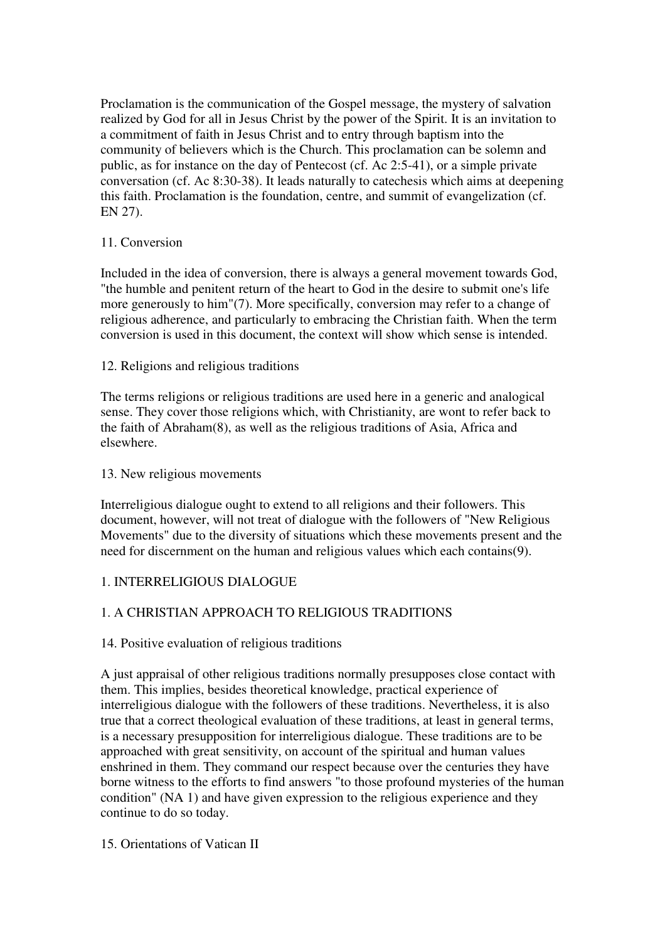Proclamation is the communication of the Gospel message, the mystery of salvation realized by God for all in Jesus Christ by the power of the Spirit. It is an invitation to a commitment of faith in Jesus Christ and to entry through baptism into the community of believers which is the Church. This proclamation can be solemn and public, as for instance on the day of Pentecost (cf. Ac 2:5-41), or a simple private conversation (cf. Ac 8:30-38). It leads naturally to catechesis which aims at deepening this faith. Proclamation is the foundation, centre, and summit of evangelization (cf. EN 27).

# 11. Conversion

Included in the idea of conversion, there is always a general movement towards God, "the humble and penitent return of the heart to God in the desire to submit one's life more generously to him"(7). More specifically, conversion may refer to a change of religious adherence, and particularly to embracing the Christian faith. When the term conversion is used in this document, the context will show which sense is intended.

## 12. Religions and religious traditions

The terms religions or religious traditions are used here in a generic and analogical sense. They cover those religions which, with Christianity, are wont to refer back to the faith of Abraham(8), as well as the religious traditions of Asia, Africa and elsewhere.

## 13. New religious movements

Interreligious dialogue ought to extend to all religions and their followers. This document, however, will not treat of dialogue with the followers of "New Religious Movements" due to the diversity of situations which these movements present and the need for discernment on the human and religious values which each contains(9).

# 1. INTERRELIGIOUS DIALOGUE

# 1. A CHRISTIAN APPROACH TO RELIGIOUS TRADITIONS

14. Positive evaluation of religious traditions

A just appraisal of other religious traditions normally presupposes close contact with them. This implies, besides theoretical knowledge, practical experience of interreligious dialogue with the followers of these traditions. Nevertheless, it is also true that a correct theological evaluation of these traditions, at least in general terms, is a necessary presupposition for interreligious dialogue. These traditions are to be approached with great sensitivity, on account of the spiritual and human values enshrined in them. They command our respect because over the centuries they have borne witness to the efforts to find answers "to those profound mysteries of the human condition" (NA 1) and have given expression to the religious experience and they continue to do so today.

## 15. Orientations of Vatican II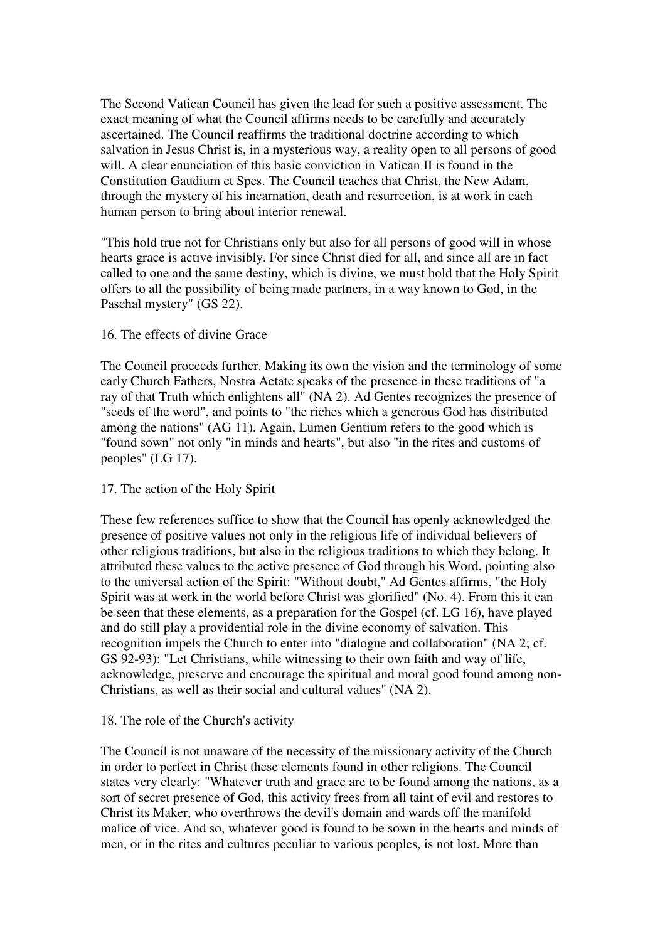The Second Vatican Council has given the lead for such a positive assessment. The exact meaning of what the Council affirms needs to be carefully and accurately ascertained. The Council reaffirms the traditional doctrine according to which salvation in Jesus Christ is, in a mysterious way, a reality open to all persons of good will. A clear enunciation of this basic conviction in Vatican II is found in the Constitution Gaudium et Spes. The Council teaches that Christ, the New Adam, through the mystery of his incarnation, death and resurrection, is at work in each human person to bring about interior renewal.

"This hold true not for Christians only but also for all persons of good will in whose hearts grace is active invisibly. For since Christ died for all, and since all are in fact called to one and the same destiny, which is divine, we must hold that the Holy Spirit offers to all the possibility of being made partners, in a way known to God, in the Paschal mystery" (GS 22).

#### 16. The effects of divine Grace

The Council proceeds further. Making its own the vision and the terminology of some early Church Fathers, Nostra Aetate speaks of the presence in these traditions of "a ray of that Truth which enlightens all" (NA 2). Ad Gentes recognizes the presence of "seeds of the word", and points to "the riches which a generous God has distributed among the nations" (AG 11). Again, Lumen Gentium refers to the good which is "found sown" not only "in minds and hearts", but also "in the rites and customs of peoples" (LG 17).

## 17. The action of the Holy Spirit

These few references suffice to show that the Council has openly acknowledged the presence of positive values not only in the religious life of individual believers of other religious traditions, but also in the religious traditions to which they belong. It attributed these values to the active presence of God through his Word, pointing also to the universal action of the Spirit: "Without doubt," Ad Gentes affirms, "the Holy Spirit was at work in the world before Christ was glorified" (No. 4). From this it can be seen that these elements, as a preparation for the Gospel (cf. LG 16), have played and do still play a providential role in the divine economy of salvation. This recognition impels the Church to enter into "dialogue and collaboration" (NA 2; cf. GS 92-93): "Let Christians, while witnessing to their own faith and way of life, acknowledge, preserve and encourage the spiritual and moral good found among non-Christians, as well as their social and cultural values" (NA 2).

## 18. The role of the Church's activity

The Council is not unaware of the necessity of the missionary activity of the Church in order to perfect in Christ these elements found in other religions. The Council states very clearly: "Whatever truth and grace are to be found among the nations, as a sort of secret presence of God, this activity frees from all taint of evil and restores to Christ its Maker, who overthrows the devil's domain and wards off the manifold malice of vice. And so, whatever good is found to be sown in the hearts and minds of men, or in the rites and cultures peculiar to various peoples, is not lost. More than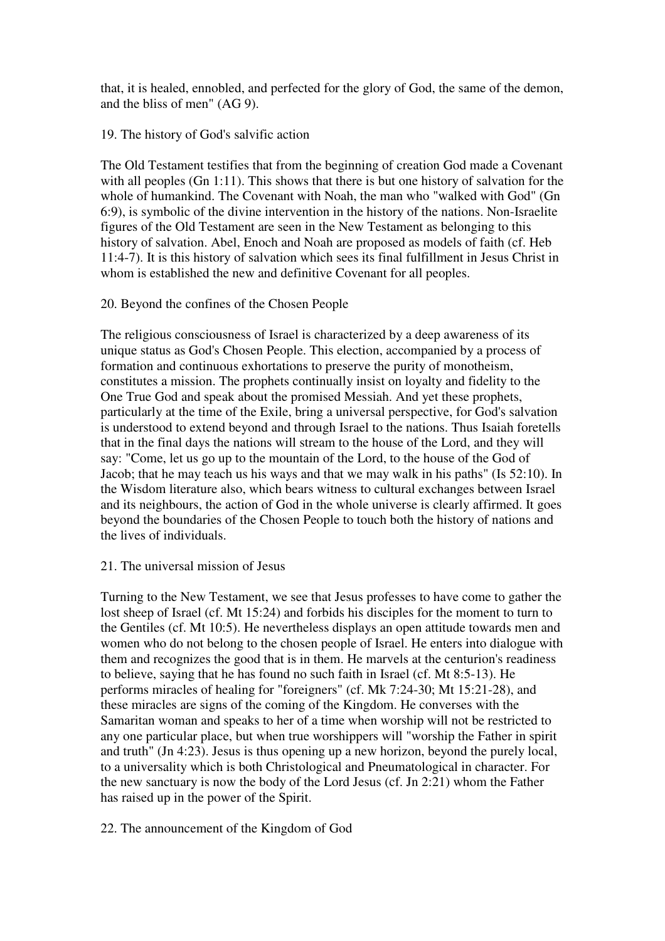that, it is healed, ennobled, and perfected for the glory of God, the same of the demon, and the bliss of men" (AG 9).

## 19. The history of God's salvific action

The Old Testament testifies that from the beginning of creation God made a Covenant with all peoples (Gn 1:11). This shows that there is but one history of salvation for the whole of humankind. The Covenant with Noah, the man who "walked with God" (Gn 6:9), is symbolic of the divine intervention in the history of the nations. Non-Israelite figures of the Old Testament are seen in the New Testament as belonging to this history of salvation. Abel, Enoch and Noah are proposed as models of faith (cf. Heb 11:4-7). It is this history of salvation which sees its final fulfillment in Jesus Christ in whom is established the new and definitive Covenant for all peoples.

## 20. Beyond the confines of the Chosen People

The religious consciousness of Israel is characterized by a deep awareness of its unique status as God's Chosen People. This election, accompanied by a process of formation and continuous exhortations to preserve the purity of monotheism, constitutes a mission. The prophets continually insist on loyalty and fidelity to the One True God and speak about the promised Messiah. And yet these prophets, particularly at the time of the Exile, bring a universal perspective, for God's salvation is understood to extend beyond and through Israel to the nations. Thus Isaiah foretells that in the final days the nations will stream to the house of the Lord, and they will say: "Come, let us go up to the mountain of the Lord, to the house of the God of Jacob; that he may teach us his ways and that we may walk in his paths" (Is 52:10). In the Wisdom literature also, which bears witness to cultural exchanges between Israel and its neighbours, the action of God in the whole universe is clearly affirmed. It goes beyond the boundaries of the Chosen People to touch both the history of nations and the lives of individuals.

## 21. The universal mission of Jesus

Turning to the New Testament, we see that Jesus professes to have come to gather the lost sheep of Israel (cf. Mt 15:24) and forbids his disciples for the moment to turn to the Gentiles (cf. Mt 10:5). He nevertheless displays an open attitude towards men and women who do not belong to the chosen people of Israel. He enters into dialogue with them and recognizes the good that is in them. He marvels at the centurion's readiness to believe, saying that he has found no such faith in Israel (cf. Mt 8:5-13). He performs miracles of healing for "foreigners" (cf. Mk 7:24-30; Mt 15:21-28), and these miracles are signs of the coming of the Kingdom. He converses with the Samaritan woman and speaks to her of a time when worship will not be restricted to any one particular place, but when true worshippers will "worship the Father in spirit and truth" (Jn 4:23). Jesus is thus opening up a new horizon, beyond the purely local, to a universality which is both Christological and Pneumatological in character. For the new sanctuary is now the body of the Lord Jesus (cf. Jn 2:21) whom the Father has raised up in the power of the Spirit.

# 22. The announcement of the Kingdom of God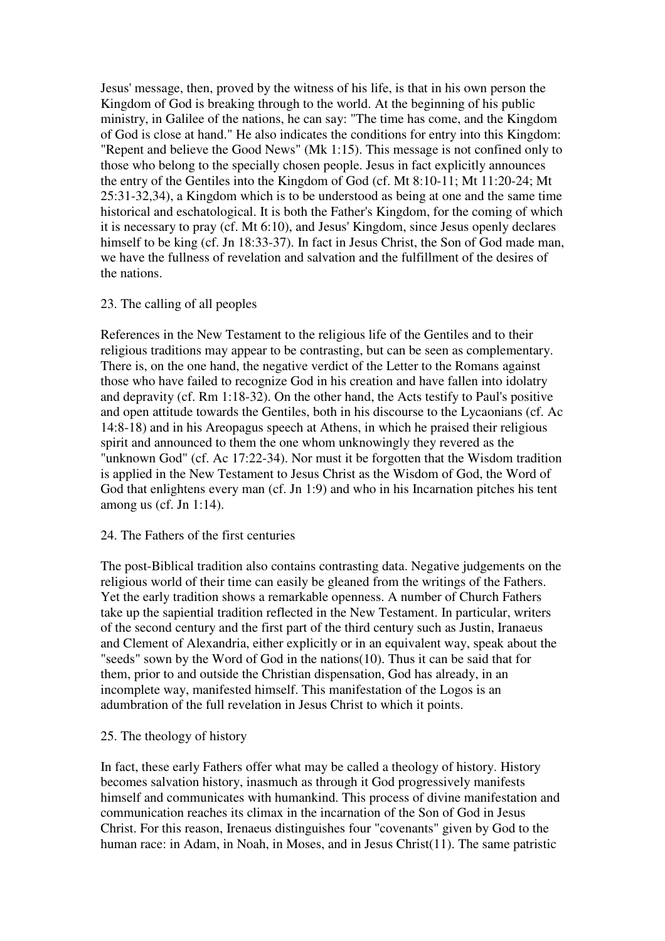Jesus' message, then, proved by the witness of his life, is that in his own person the Kingdom of God is breaking through to the world. At the beginning of his public ministry, in Galilee of the nations, he can say: "The time has come, and the Kingdom of God is close at hand." He also indicates the conditions for entry into this Kingdom: "Repent and believe the Good News" (Mk 1:15). This message is not confined only to those who belong to the specially chosen people. Jesus in fact explicitly announces the entry of the Gentiles into the Kingdom of God (cf. Mt 8:10-11; Mt 11:20-24; Mt 25:31-32,34), a Kingdom which is to be understood as being at one and the same time historical and eschatological. It is both the Father's Kingdom, for the coming of which it is necessary to pray (cf. Mt 6:10), and Jesus' Kingdom, since Jesus openly declares himself to be king (cf. Jn 18:33-37). In fact in Jesus Christ, the Son of God made man, we have the fullness of revelation and salvation and the fulfillment of the desires of the nations.

## 23. The calling of all peoples

References in the New Testament to the religious life of the Gentiles and to their religious traditions may appear to be contrasting, but can be seen as complementary. There is, on the one hand, the negative verdict of the Letter to the Romans against those who have failed to recognize God in his creation and have fallen into idolatry and depravity (cf. Rm 1:18-32). On the other hand, the Acts testify to Paul's positive and open attitude towards the Gentiles, both in his discourse to the Lycaonians (cf. Ac 14:8-18) and in his Areopagus speech at Athens, in which he praised their religious spirit and announced to them the one whom unknowingly they revered as the "unknown God" (cf. Ac 17:22-34). Nor must it be forgotten that the Wisdom tradition is applied in the New Testament to Jesus Christ as the Wisdom of God, the Word of God that enlightens every man (cf. Jn 1:9) and who in his Incarnation pitches his tent among us (cf. Jn 1:14).

## 24. The Fathers of the first centuries

The post-Biblical tradition also contains contrasting data. Negative judgements on the religious world of their time can easily be gleaned from the writings of the Fathers. Yet the early tradition shows a remarkable openness. A number of Church Fathers take up the sapiential tradition reflected in the New Testament. In particular, writers of the second century and the first part of the third century such as Justin, Iranaeus and Clement of Alexandria, either explicitly or in an equivalent way, speak about the "seeds" sown by the Word of God in the nations(10). Thus it can be said that for them, prior to and outside the Christian dispensation, God has already, in an incomplete way, manifested himself. This manifestation of the Logos is an adumbration of the full revelation in Jesus Christ to which it points.

# 25. The theology of history

In fact, these early Fathers offer what may be called a theology of history. History becomes salvation history, inasmuch as through it God progressively manifests himself and communicates with humankind. This process of divine manifestation and communication reaches its climax in the incarnation of the Son of God in Jesus Christ. For this reason, Irenaeus distinguishes four "covenants" given by God to the human race: in Adam, in Noah, in Moses, and in Jesus Christ(11). The same patristic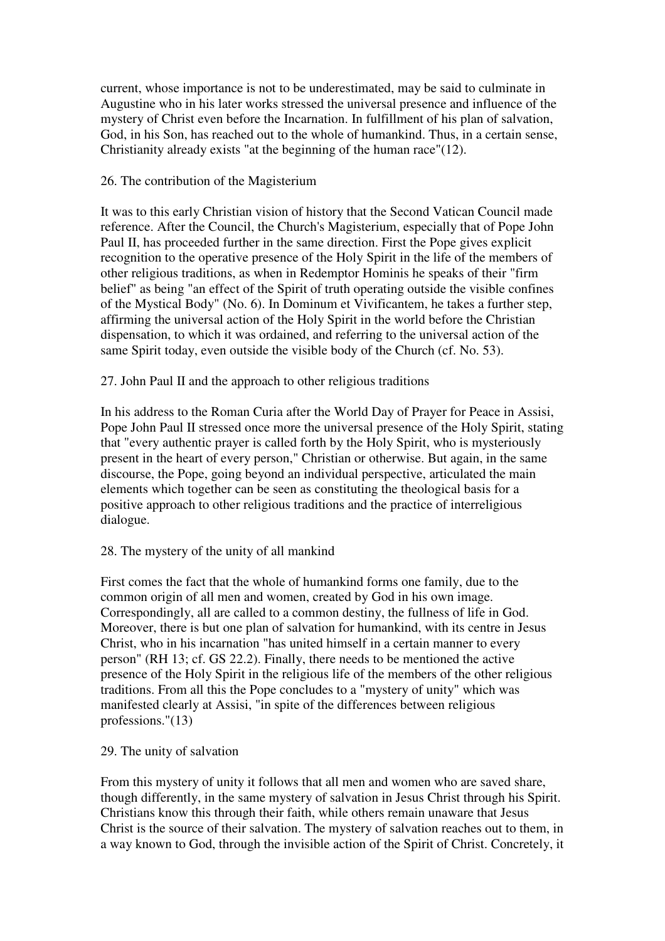current, whose importance is not to be underestimated, may be said to culminate in Augustine who in his later works stressed the universal presence and influence of the mystery of Christ even before the Incarnation. In fulfillment of his plan of salvation, God, in his Son, has reached out to the whole of humankind. Thus, in a certain sense, Christianity already exists "at the beginning of the human race"(12).

## 26. The contribution of the Magisterium

It was to this early Christian vision of history that the Second Vatican Council made reference. After the Council, the Church's Magisterium, especially that of Pope John Paul II, has proceeded further in the same direction. First the Pope gives explicit recognition to the operative presence of the Holy Spirit in the life of the members of other religious traditions, as when in Redemptor Hominis he speaks of their "firm belief" as being "an effect of the Spirit of truth operating outside the visible confines of the Mystical Body" (No. 6). In Dominum et Vivificantem, he takes a further step, affirming the universal action of the Holy Spirit in the world before the Christian dispensation, to which it was ordained, and referring to the universal action of the same Spirit today, even outside the visible body of the Church (cf. No. 53).

## 27. John Paul II and the approach to other religious traditions

In his address to the Roman Curia after the World Day of Prayer for Peace in Assisi, Pope John Paul II stressed once more the universal presence of the Holy Spirit, stating that "every authentic prayer is called forth by the Holy Spirit, who is mysteriously present in the heart of every person," Christian or otherwise. But again, in the same discourse, the Pope, going beyond an individual perspective, articulated the main elements which together can be seen as constituting the theological basis for a positive approach to other religious traditions and the practice of interreligious dialogue.

# 28. The mystery of the unity of all mankind

First comes the fact that the whole of humankind forms one family, due to the common origin of all men and women, created by God in his own image. Correspondingly, all are called to a common destiny, the fullness of life in God. Moreover, there is but one plan of salvation for humankind, with its centre in Jesus Christ, who in his incarnation "has united himself in a certain manner to every person" (RH 13; cf. GS 22.2). Finally, there needs to be mentioned the active presence of the Holy Spirit in the religious life of the members of the other religious traditions. From all this the Pope concludes to a "mystery of unity" which was manifested clearly at Assisi, "in spite of the differences between religious professions."(13)

## 29. The unity of salvation

From this mystery of unity it follows that all men and women who are saved share, though differently, in the same mystery of salvation in Jesus Christ through his Spirit. Christians know this through their faith, while others remain unaware that Jesus Christ is the source of their salvation. The mystery of salvation reaches out to them, in a way known to God, through the invisible action of the Spirit of Christ. Concretely, it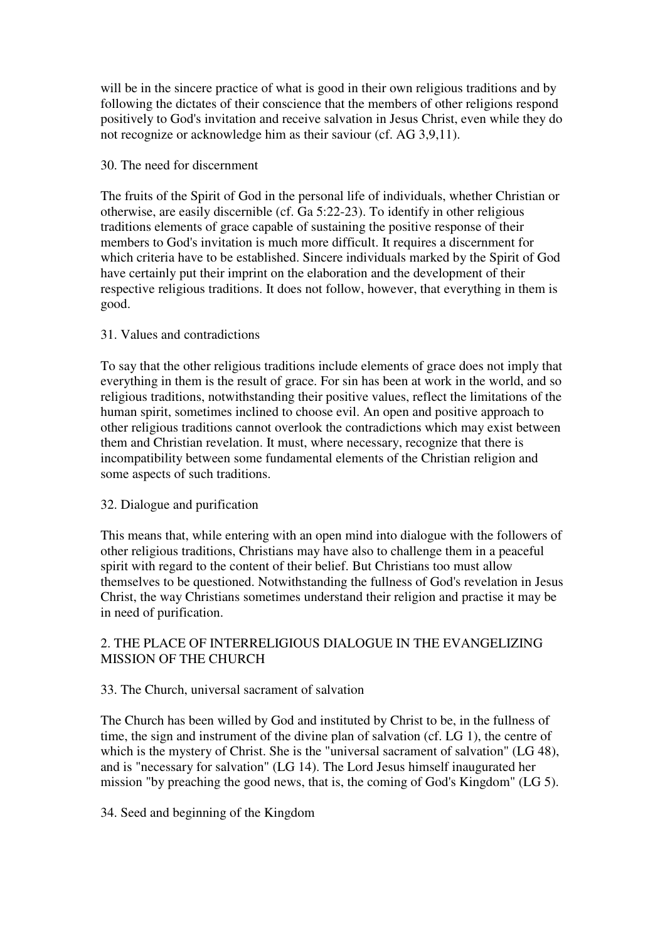will be in the sincere practice of what is good in their own religious traditions and by following the dictates of their conscience that the members of other religions respond positively to God's invitation and receive salvation in Jesus Christ, even while they do not recognize or acknowledge him as their saviour (cf. AG 3,9,11).

#### 30. The need for discernment

The fruits of the Spirit of God in the personal life of individuals, whether Christian or otherwise, are easily discernible (cf. Ga 5:22-23). To identify in other religious traditions elements of grace capable of sustaining the positive response of their members to God's invitation is much more difficult. It requires a discernment for which criteria have to be established. Sincere individuals marked by the Spirit of God have certainly put their imprint on the elaboration and the development of their respective religious traditions. It does not follow, however, that everything in them is good.

## 31. Values and contradictions

To say that the other religious traditions include elements of grace does not imply that everything in them is the result of grace. For sin has been at work in the world, and so religious traditions, notwithstanding their positive values, reflect the limitations of the human spirit, sometimes inclined to choose evil. An open and positive approach to other religious traditions cannot overlook the contradictions which may exist between them and Christian revelation. It must, where necessary, recognize that there is incompatibility between some fundamental elements of the Christian religion and some aspects of such traditions.

## 32. Dialogue and purification

This means that, while entering with an open mind into dialogue with the followers of other religious traditions, Christians may have also to challenge them in a peaceful spirit with regard to the content of their belief. But Christians too must allow themselves to be questioned. Notwithstanding the fullness of God's revelation in Jesus Christ, the way Christians sometimes understand their religion and practise it may be in need of purification.

## 2. THE PLACE OF INTERRELIGIOUS DIALOGUE IN THE EVANGELIZING MISSION OF THE CHURCH

## 33. The Church, universal sacrament of salvation

The Church has been willed by God and instituted by Christ to be, in the fullness of time, the sign and instrument of the divine plan of salvation (cf. LG 1), the centre of which is the mystery of Christ. She is the "universal sacrament of salvation" (LG 48), and is "necessary for salvation" (LG 14). The Lord Jesus himself inaugurated her mission "by preaching the good news, that is, the coming of God's Kingdom" (LG 5).

## 34. Seed and beginning of the Kingdom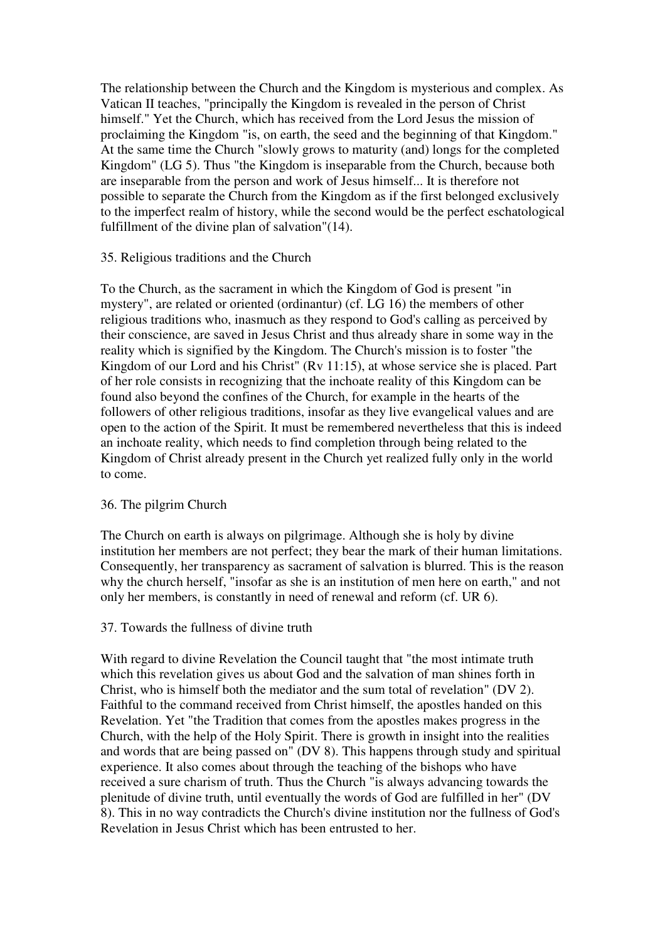The relationship between the Church and the Kingdom is mysterious and complex. As Vatican II teaches, "principally the Kingdom is revealed in the person of Christ himself." Yet the Church, which has received from the Lord Jesus the mission of proclaiming the Kingdom "is, on earth, the seed and the beginning of that Kingdom." At the same time the Church "slowly grows to maturity (and) longs for the completed Kingdom" (LG 5). Thus "the Kingdom is inseparable from the Church, because both are inseparable from the person and work of Jesus himself... It is therefore not possible to separate the Church from the Kingdom as if the first belonged exclusively to the imperfect realm of history, while the second would be the perfect eschatological fulfillment of the divine plan of salvation"(14).

## 35. Religious traditions and the Church

To the Church, as the sacrament in which the Kingdom of God is present "in mystery", are related or oriented (ordinantur) (cf. LG 16) the members of other religious traditions who, inasmuch as they respond to God's calling as perceived by their conscience, are saved in Jesus Christ and thus already share in some way in the reality which is signified by the Kingdom. The Church's mission is to foster "the Kingdom of our Lord and his Christ" (Rv 11:15), at whose service she is placed. Part of her role consists in recognizing that the inchoate reality of this Kingdom can be found also beyond the confines of the Church, for example in the hearts of the followers of other religious traditions, insofar as they live evangelical values and are open to the action of the Spirit. It must be remembered nevertheless that this is indeed an inchoate reality, which needs to find completion through being related to the Kingdom of Christ already present in the Church yet realized fully only in the world to come.

# 36. The pilgrim Church

The Church on earth is always on pilgrimage. Although she is holy by divine institution her members are not perfect; they bear the mark of their human limitations. Consequently, her transparency as sacrament of salvation is blurred. This is the reason why the church herself, "insofar as she is an institution of men here on earth," and not only her members, is constantly in need of renewal and reform (cf. UR 6).

# 37. Towards the fullness of divine truth

With regard to divine Revelation the Council taught that "the most intimate truth which this revelation gives us about God and the salvation of man shines forth in Christ, who is himself both the mediator and the sum total of revelation" (DV 2). Faithful to the command received from Christ himself, the apostles handed on this Revelation. Yet "the Tradition that comes from the apostles makes progress in the Church, with the help of the Holy Spirit. There is growth in insight into the realities and words that are being passed on" (DV 8). This happens through study and spiritual experience. It also comes about through the teaching of the bishops who have received a sure charism of truth. Thus the Church "is always advancing towards the plenitude of divine truth, until eventually the words of God are fulfilled in her" (DV 8). This in no way contradicts the Church's divine institution nor the fullness of God's Revelation in Jesus Christ which has been entrusted to her.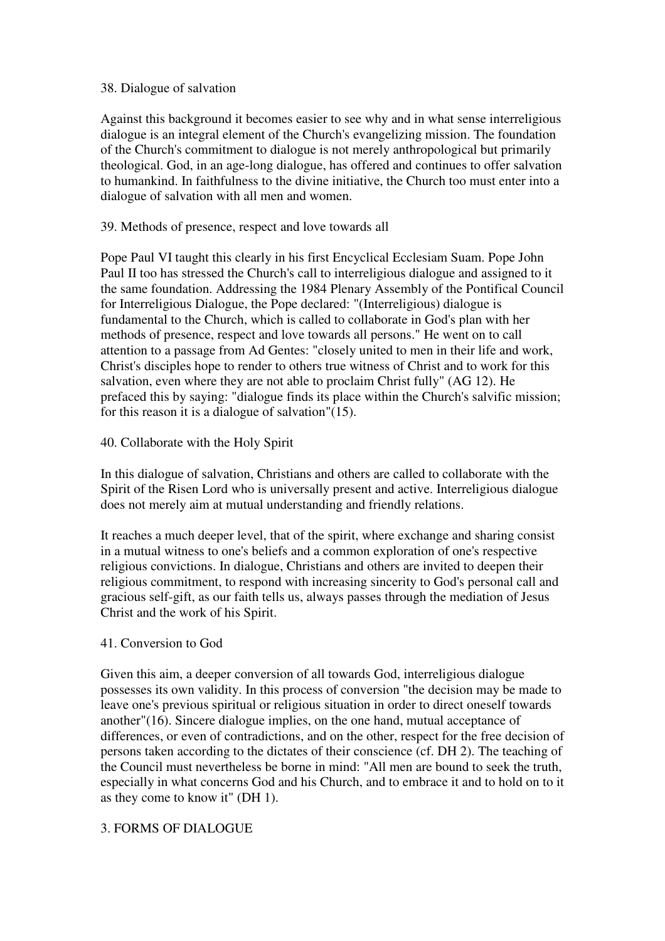#### 38. Dialogue of salvation

Against this background it becomes easier to see why and in what sense interreligious dialogue is an integral element of the Church's evangelizing mission. The foundation of the Church's commitment to dialogue is not merely anthropological but primarily theological. God, in an age-long dialogue, has offered and continues to offer salvation to humankind. In faithfulness to the divine initiative, the Church too must enter into a dialogue of salvation with all men and women.

## 39. Methods of presence, respect and love towards all

Pope Paul VI taught this clearly in his first Encyclical Ecclesiam Suam. Pope John Paul II too has stressed the Church's call to interreligious dialogue and assigned to it the same foundation. Addressing the 1984 Plenary Assembly of the Pontifical Council for Interreligious Dialogue, the Pope declared: "(Interreligious) dialogue is fundamental to the Church, which is called to collaborate in God's plan with her methods of presence, respect and love towards all persons." He went on to call attention to a passage from Ad Gentes: "closely united to men in their life and work, Christ's disciples hope to render to others true witness of Christ and to work for this salvation, even where they are not able to proclaim Christ fully" (AG 12). He prefaced this by saying: "dialogue finds its place within the Church's salvific mission; for this reason it is a dialogue of salvation"(15).

## 40. Collaborate with the Holy Spirit

In this dialogue of salvation, Christians and others are called to collaborate with the Spirit of the Risen Lord who is universally present and active. Interreligious dialogue does not merely aim at mutual understanding and friendly relations.

It reaches a much deeper level, that of the spirit, where exchange and sharing consist in a mutual witness to one's beliefs and a common exploration of one's respective religious convictions. In dialogue, Christians and others are invited to deepen their religious commitment, to respond with increasing sincerity to God's personal call and gracious self-gift, as our faith tells us, always passes through the mediation of Jesus Christ and the work of his Spirit.

## 41. Conversion to God

Given this aim, a deeper conversion of all towards God, interreligious dialogue possesses its own validity. In this process of conversion "the decision may be made to leave one's previous spiritual or religious situation in order to direct oneself towards another"(16). Sincere dialogue implies, on the one hand, mutual acceptance of differences, or even of contradictions, and on the other, respect for the free decision of persons taken according to the dictates of their conscience (cf. DH 2). The teaching of the Council must nevertheless be borne in mind: "All men are bound to seek the truth, especially in what concerns God and his Church, and to embrace it and to hold on to it as they come to know it" (DH 1).

# 3. FORMS OF DIALOGUE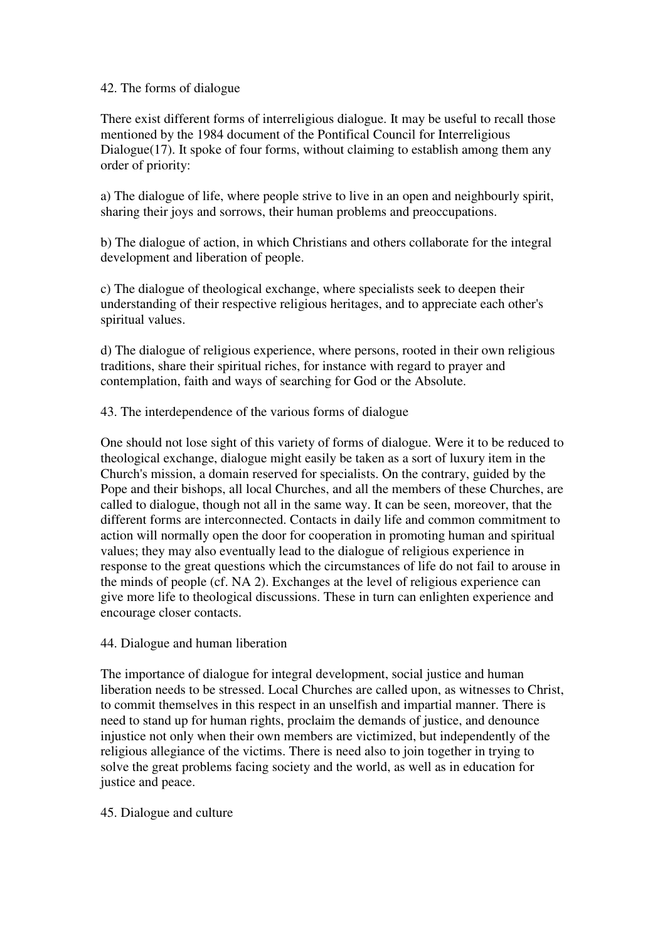## 42. The forms of dialogue

There exist different forms of interreligious dialogue. It may be useful to recall those mentioned by the 1984 document of the Pontifical Council for Interreligious Dialogue(17). It spoke of four forms, without claiming to establish among them any order of priority:

a) The dialogue of life, where people strive to live in an open and neighbourly spirit, sharing their joys and sorrows, their human problems and preoccupations.

b) The dialogue of action, in which Christians and others collaborate for the integral development and liberation of people.

c) The dialogue of theological exchange, where specialists seek to deepen their understanding of their respective religious heritages, and to appreciate each other's spiritual values.

d) The dialogue of religious experience, where persons, rooted in their own religious traditions, share their spiritual riches, for instance with regard to prayer and contemplation, faith and ways of searching for God or the Absolute.

43. The interdependence of the various forms of dialogue

One should not lose sight of this variety of forms of dialogue. Were it to be reduced to theological exchange, dialogue might easily be taken as a sort of luxury item in the Church's mission, a domain reserved for specialists. On the contrary, guided by the Pope and their bishops, all local Churches, and all the members of these Churches, are called to dialogue, though not all in the same way. It can be seen, moreover, that the different forms are interconnected. Contacts in daily life and common commitment to action will normally open the door for cooperation in promoting human and spiritual values; they may also eventually lead to the dialogue of religious experience in response to the great questions which the circumstances of life do not fail to arouse in the minds of people (cf. NA 2). Exchanges at the level of religious experience can give more life to theological discussions. These in turn can enlighten experience and encourage closer contacts.

44. Dialogue and human liberation

The importance of dialogue for integral development, social justice and human liberation needs to be stressed. Local Churches are called upon, as witnesses to Christ, to commit themselves in this respect in an unselfish and impartial manner. There is need to stand up for human rights, proclaim the demands of justice, and denounce injustice not only when their own members are victimized, but independently of the religious allegiance of the victims. There is need also to join together in trying to solve the great problems facing society and the world, as well as in education for justice and peace.

45. Dialogue and culture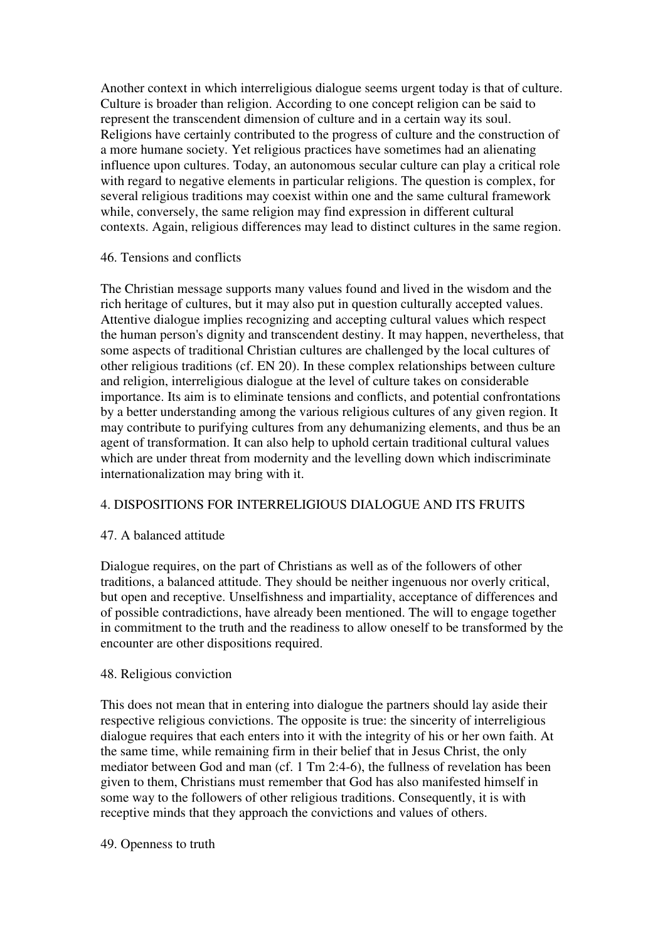Another context in which interreligious dialogue seems urgent today is that of culture. Culture is broader than religion. According to one concept religion can be said to represent the transcendent dimension of culture and in a certain way its soul. Religions have certainly contributed to the progress of culture and the construction of a more humane society. Yet religious practices have sometimes had an alienating influence upon cultures. Today, an autonomous secular culture can play a critical role with regard to negative elements in particular religions. The question is complex, for several religious traditions may coexist within one and the same cultural framework while, conversely, the same religion may find expression in different cultural contexts. Again, religious differences may lead to distinct cultures in the same region.

## 46. Tensions and conflicts

The Christian message supports many values found and lived in the wisdom and the rich heritage of cultures, but it may also put in question culturally accepted values. Attentive dialogue implies recognizing and accepting cultural values which respect the human person's dignity and transcendent destiny. It may happen, nevertheless, that some aspects of traditional Christian cultures are challenged by the local cultures of other religious traditions (cf. EN 20). In these complex relationships between culture and religion, interreligious dialogue at the level of culture takes on considerable importance. Its aim is to eliminate tensions and conflicts, and potential confrontations by a better understanding among the various religious cultures of any given region. It may contribute to purifying cultures from any dehumanizing elements, and thus be an agent of transformation. It can also help to uphold certain traditional cultural values which are under threat from modernity and the levelling down which indiscriminate internationalization may bring with it.

# 4. DISPOSITIONS FOR INTERRELIGIOUS DIALOGUE AND ITS FRUITS

# 47. A balanced attitude

Dialogue requires, on the part of Christians as well as of the followers of other traditions, a balanced attitude. They should be neither ingenuous nor overly critical, but open and receptive. Unselfishness and impartiality, acceptance of differences and of possible contradictions, have already been mentioned. The will to engage together in commitment to the truth and the readiness to allow oneself to be transformed by the encounter are other dispositions required.

# 48. Religious conviction

This does not mean that in entering into dialogue the partners should lay aside their respective religious convictions. The opposite is true: the sincerity of interreligious dialogue requires that each enters into it with the integrity of his or her own faith. At the same time, while remaining firm in their belief that in Jesus Christ, the only mediator between God and man (cf. 1 Tm 2:4-6), the fullness of revelation has been given to them, Christians must remember that God has also manifested himself in some way to the followers of other religious traditions. Consequently, it is with receptive minds that they approach the convictions and values of others.

# 49. Openness to truth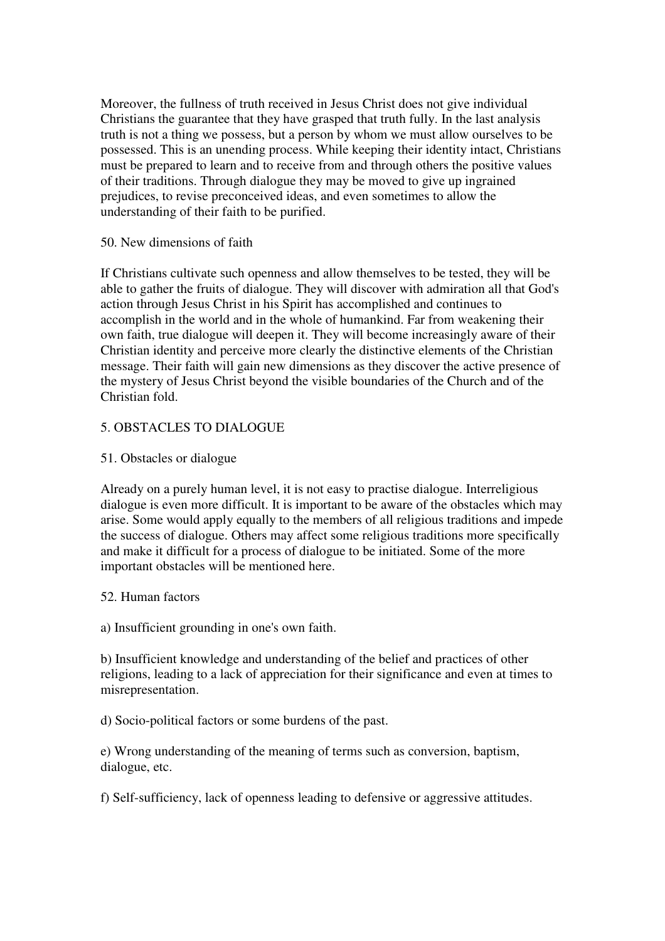Moreover, the fullness of truth received in Jesus Christ does not give individual Christians the guarantee that they have grasped that truth fully. In the last analysis truth is not a thing we possess, but a person by whom we must allow ourselves to be possessed. This is an unending process. While keeping their identity intact, Christians must be prepared to learn and to receive from and through others the positive values of their traditions. Through dialogue they may be moved to give up ingrained prejudices, to revise preconceived ideas, and even sometimes to allow the understanding of their faith to be purified.

## 50. New dimensions of faith

If Christians cultivate such openness and allow themselves to be tested, they will be able to gather the fruits of dialogue. They will discover with admiration all that God's action through Jesus Christ in his Spirit has accomplished and continues to accomplish in the world and in the whole of humankind. Far from weakening their own faith, true dialogue will deepen it. They will become increasingly aware of their Christian identity and perceive more clearly the distinctive elements of the Christian message. Their faith will gain new dimensions as they discover the active presence of the mystery of Jesus Christ beyond the visible boundaries of the Church and of the Christian fold.

## 5. OBSTACLES TO DIALOGUE

#### 51. Obstacles or dialogue

Already on a purely human level, it is not easy to practise dialogue. Interreligious dialogue is even more difficult. It is important to be aware of the obstacles which may arise. Some would apply equally to the members of all religious traditions and impede the success of dialogue. Others may affect some religious traditions more specifically and make it difficult for a process of dialogue to be initiated. Some of the more important obstacles will be mentioned here.

## 52. Human factors

a) Insufficient grounding in one's own faith.

b) Insufficient knowledge and understanding of the belief and practices of other religions, leading to a lack of appreciation for their significance and even at times to misrepresentation.

d) Socio-political factors or some burdens of the past.

e) Wrong understanding of the meaning of terms such as conversion, baptism, dialogue, etc.

f) Self-sufficiency, lack of openness leading to defensive or aggressive attitudes.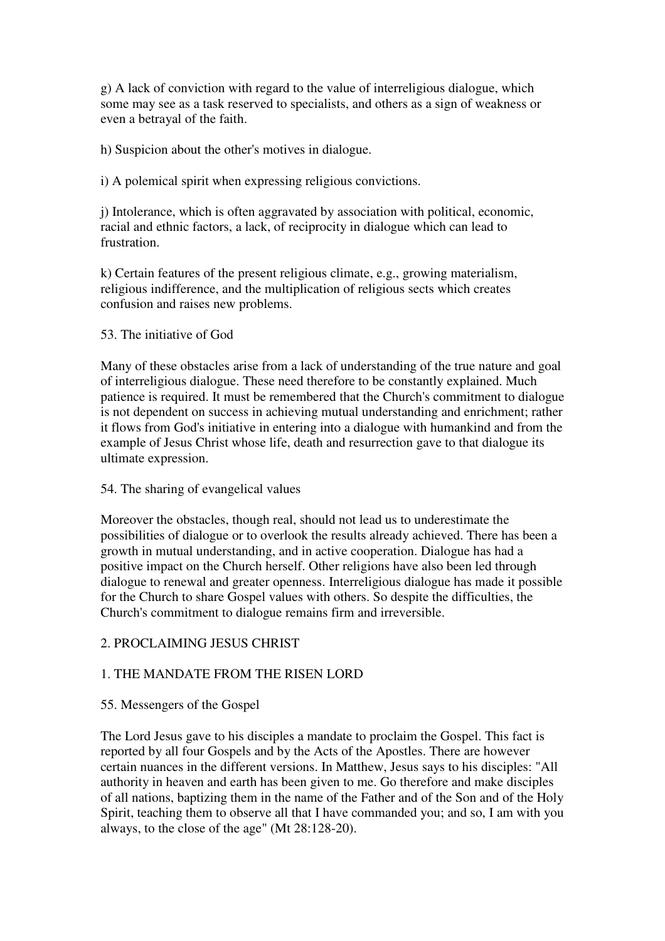g) A lack of conviction with regard to the value of interreligious dialogue, which some may see as a task reserved to specialists, and others as a sign of weakness or even a betrayal of the faith.

h) Suspicion about the other's motives in dialogue.

i) A polemical spirit when expressing religious convictions.

j) Intolerance, which is often aggravated by association with political, economic, racial and ethnic factors, a lack, of reciprocity in dialogue which can lead to frustration.

k) Certain features of the present religious climate, e.g., growing materialism, religious indifference, and the multiplication of religious sects which creates confusion and raises new problems.

53. The initiative of God

Many of these obstacles arise from a lack of understanding of the true nature and goal of interreligious dialogue. These need therefore to be constantly explained. Much patience is required. It must be remembered that the Church's commitment to dialogue is not dependent on success in achieving mutual understanding and enrichment; rather it flows from God's initiative in entering into a dialogue with humankind and from the example of Jesus Christ whose life, death and resurrection gave to that dialogue its ultimate expression.

## 54. The sharing of evangelical values

Moreover the obstacles, though real, should not lead us to underestimate the possibilities of dialogue or to overlook the results already achieved. There has been a growth in mutual understanding, and in active cooperation. Dialogue has had a positive impact on the Church herself. Other religions have also been led through dialogue to renewal and greater openness. Interreligious dialogue has made it possible for the Church to share Gospel values with others. So despite the difficulties, the Church's commitment to dialogue remains firm and irreversible.

## 2. PROCLAIMING JESUS CHRIST

# 1. THE MANDATE FROM THE RISEN LORD

## 55. Messengers of the Gospel

The Lord Jesus gave to his disciples a mandate to proclaim the Gospel. This fact is reported by all four Gospels and by the Acts of the Apostles. There are however certain nuances in the different versions. In Matthew, Jesus says to his disciples: "All authority in heaven and earth has been given to me. Go therefore and make disciples of all nations, baptizing them in the name of the Father and of the Son and of the Holy Spirit, teaching them to observe all that I have commanded you; and so, I am with you always, to the close of the age" (Mt 28:128-20).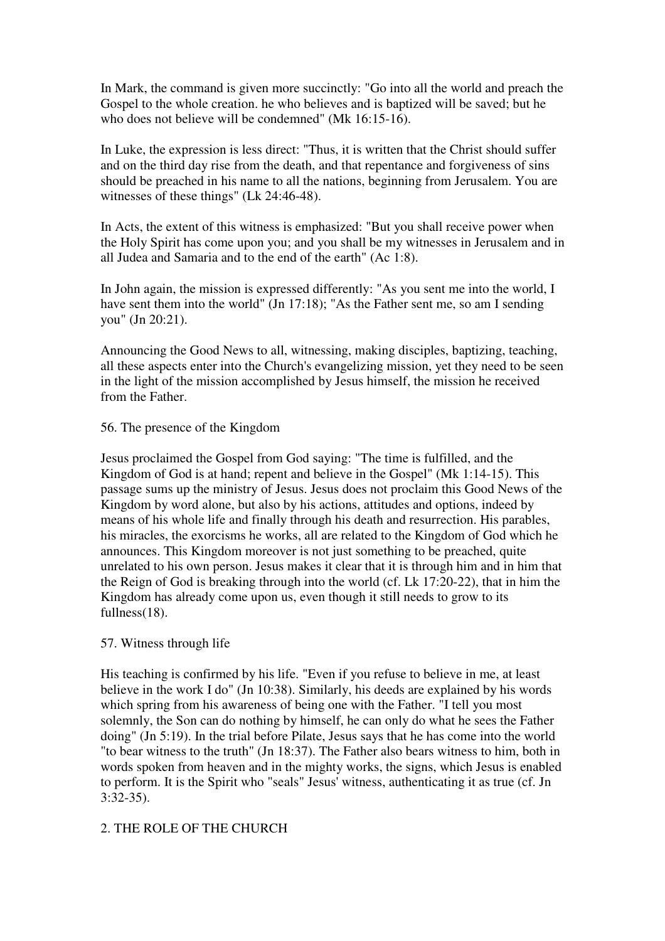In Mark, the command is given more succinctly: "Go into all the world and preach the Gospel to the whole creation. he who believes and is baptized will be saved; but he who does not believe will be condemned" (Mk 16:15-16).

In Luke, the expression is less direct: "Thus, it is written that the Christ should suffer and on the third day rise from the death, and that repentance and forgiveness of sins should be preached in his name to all the nations, beginning from Jerusalem. You are witnesses of these things" (Lk 24:46-48).

In Acts, the extent of this witness is emphasized: "But you shall receive power when the Holy Spirit has come upon you; and you shall be my witnesses in Jerusalem and in all Judea and Samaria and to the end of the earth" (Ac 1:8).

In John again, the mission is expressed differently: "As you sent me into the world, I have sent them into the world" (Jn 17:18); "As the Father sent me, so am I sending you" (Jn 20:21).

Announcing the Good News to all, witnessing, making disciples, baptizing, teaching, all these aspects enter into the Church's evangelizing mission, yet they need to be seen in the light of the mission accomplished by Jesus himself, the mission he received from the Father.

56. The presence of the Kingdom

Jesus proclaimed the Gospel from God saying: "The time is fulfilled, and the Kingdom of God is at hand; repent and believe in the Gospel" (Mk 1:14-15). This passage sums up the ministry of Jesus. Jesus does not proclaim this Good News of the Kingdom by word alone, but also by his actions, attitudes and options, indeed by means of his whole life and finally through his death and resurrection. His parables, his miracles, the exorcisms he works, all are related to the Kingdom of God which he announces. This Kingdom moreover is not just something to be preached, quite unrelated to his own person. Jesus makes it clear that it is through him and in him that the Reign of God is breaking through into the world (cf. Lk 17:20-22), that in him the Kingdom has already come upon us, even though it still needs to grow to its fullness(18).

## 57. Witness through life

His teaching is confirmed by his life. "Even if you refuse to believe in me, at least believe in the work I do" (Jn 10:38). Similarly, his deeds are explained by his words which spring from his awareness of being one with the Father. "I tell you most solemnly, the Son can do nothing by himself, he can only do what he sees the Father doing" (Jn 5:19). In the trial before Pilate, Jesus says that he has come into the world "to bear witness to the truth" (Jn 18:37). The Father also bears witness to him, both in words spoken from heaven and in the mighty works, the signs, which Jesus is enabled to perform. It is the Spirit who "seals" Jesus' witness, authenticating it as true (cf. Jn 3:32-35).

# 2. THE ROLE OF THE CHURCH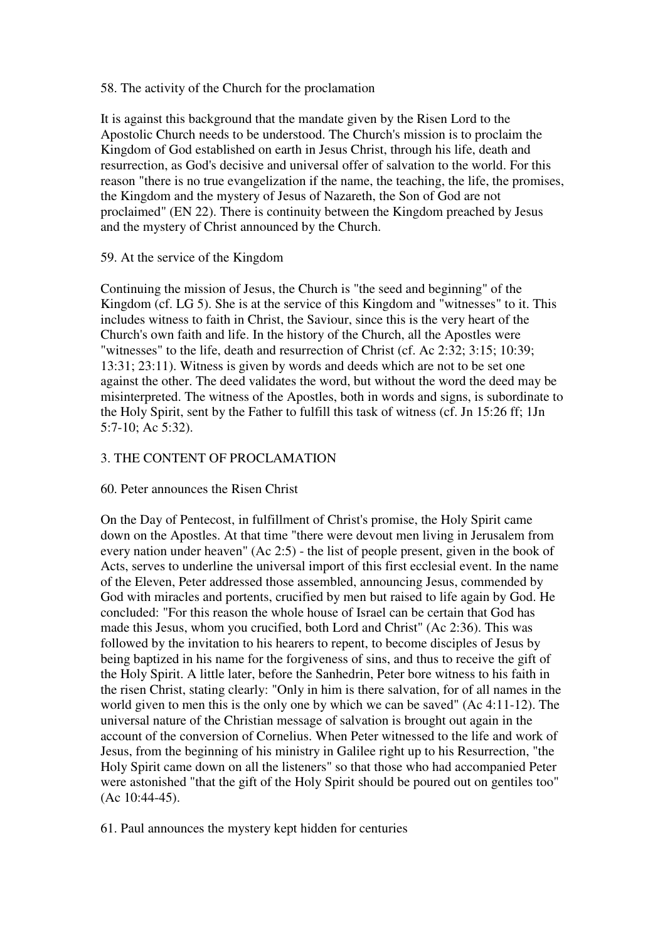## 58. The activity of the Church for the proclamation

It is against this background that the mandate given by the Risen Lord to the Apostolic Church needs to be understood. The Church's mission is to proclaim the Kingdom of God established on earth in Jesus Christ, through his life, death and resurrection, as God's decisive and universal offer of salvation to the world. For this reason "there is no true evangelization if the name, the teaching, the life, the promises, the Kingdom and the mystery of Jesus of Nazareth, the Son of God are not proclaimed" (EN 22). There is continuity between the Kingdom preached by Jesus and the mystery of Christ announced by the Church.

## 59. At the service of the Kingdom

Continuing the mission of Jesus, the Church is "the seed and beginning" of the Kingdom (cf. LG 5). She is at the service of this Kingdom and "witnesses" to it. This includes witness to faith in Christ, the Saviour, since this is the very heart of the Church's own faith and life. In the history of the Church, all the Apostles were "witnesses" to the life, death and resurrection of Christ (cf. Ac 2:32; 3:15; 10:39; 13:31; 23:11). Witness is given by words and deeds which are not to be set one against the other. The deed validates the word, but without the word the deed may be misinterpreted. The witness of the Apostles, both in words and signs, is subordinate to the Holy Spirit, sent by the Father to fulfill this task of witness (cf. Jn 15:26 ff; 1Jn 5:7-10; Ac 5:32).

## 3. THE CONTENT OF PROCLAMATION

## 60. Peter announces the Risen Christ

On the Day of Pentecost, in fulfillment of Christ's promise, the Holy Spirit came down on the Apostles. At that time "there were devout men living in Jerusalem from every nation under heaven" (Ac 2:5) - the list of people present, given in the book of Acts, serves to underline the universal import of this first ecclesial event. In the name of the Eleven, Peter addressed those assembled, announcing Jesus, commended by God with miracles and portents, crucified by men but raised to life again by God. He concluded: "For this reason the whole house of Israel can be certain that God has made this Jesus, whom you crucified, both Lord and Christ" (Ac 2:36). This was followed by the invitation to his hearers to repent, to become disciples of Jesus by being baptized in his name for the forgiveness of sins, and thus to receive the gift of the Holy Spirit. A little later, before the Sanhedrin, Peter bore witness to his faith in the risen Christ, stating clearly: "Only in him is there salvation, for of all names in the world given to men this is the only one by which we can be saved" (Ac 4:11-12). The universal nature of the Christian message of salvation is brought out again in the account of the conversion of Cornelius. When Peter witnessed to the life and work of Jesus, from the beginning of his ministry in Galilee right up to his Resurrection, "the Holy Spirit came down on all the listeners" so that those who had accompanied Peter were astonished "that the gift of the Holy Spirit should be poured out on gentiles too" (Ac 10:44-45).

61. Paul announces the mystery kept hidden for centuries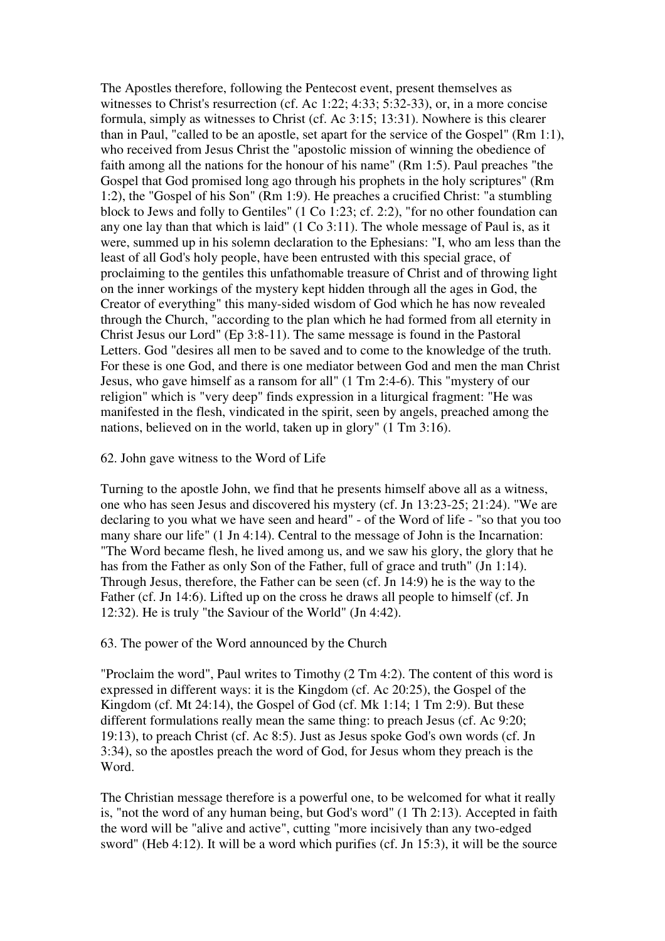The Apostles therefore, following the Pentecost event, present themselves as witnesses to Christ's resurrection (cf. Ac 1:22; 4:33; 5:32-33), or, in a more concise formula, simply as witnesses to Christ (cf. Ac 3:15; 13:31). Nowhere is this clearer than in Paul, "called to be an apostle, set apart for the service of the Gospel" (Rm 1:1), who received from Jesus Christ the "apostolic mission of winning the obedience of faith among all the nations for the honour of his name" (Rm 1:5). Paul preaches "the Gospel that God promised long ago through his prophets in the holy scriptures" (Rm 1:2), the "Gospel of his Son" (Rm 1:9). He preaches a crucified Christ: "a stumbling block to Jews and folly to Gentiles" (1 Co 1:23; cf. 2:2), "for no other foundation can any one lay than that which is laid" (1 Co 3:11). The whole message of Paul is, as it were, summed up in his solemn declaration to the Ephesians: "I, who am less than the least of all God's holy people, have been entrusted with this special grace, of proclaiming to the gentiles this unfathomable treasure of Christ and of throwing light on the inner workings of the mystery kept hidden through all the ages in God, the Creator of everything" this many-sided wisdom of God which he has now revealed through the Church, "according to the plan which he had formed from all eternity in Christ Jesus our Lord" (Ep 3:8-11). The same message is found in the Pastoral Letters. God "desires all men to be saved and to come to the knowledge of the truth. For these is one God, and there is one mediator between God and men the man Christ Jesus, who gave himself as a ransom for all" (1 Tm 2:4-6). This "mystery of our religion" which is "very deep" finds expression in a liturgical fragment: "He was manifested in the flesh, vindicated in the spirit, seen by angels, preached among the nations, believed on in the world, taken up in glory" (1 Tm 3:16).

62. John gave witness to the Word of Life

Turning to the apostle John, we find that he presents himself above all as a witness, one who has seen Jesus and discovered his mystery (cf. Jn 13:23-25; 21:24). "We are declaring to you what we have seen and heard" - of the Word of life - "so that you too many share our life" (1 Jn 4:14). Central to the message of John is the Incarnation: "The Word became flesh, he lived among us, and we saw his glory, the glory that he has from the Father as only Son of the Father, full of grace and truth" (Jn 1:14). Through Jesus, therefore, the Father can be seen (cf. Jn 14:9) he is the way to the Father (cf. Jn 14:6). Lifted up on the cross he draws all people to himself (cf. Jn 12:32). He is truly "the Saviour of the World" (Jn 4:42).

63. The power of the Word announced by the Church

"Proclaim the word", Paul writes to Timothy (2 Tm 4:2). The content of this word is expressed in different ways: it is the Kingdom (cf. Ac 20:25), the Gospel of the Kingdom (cf. Mt 24:14), the Gospel of God (cf. Mk 1:14; 1 Tm 2:9). But these different formulations really mean the same thing: to preach Jesus (cf. Ac 9:20; 19:13), to preach Christ (cf. Ac 8:5). Just as Jesus spoke God's own words (cf. Jn 3:34), so the apostles preach the word of God, for Jesus whom they preach is the Word.

The Christian message therefore is a powerful one, to be welcomed for what it really is, "not the word of any human being, but God's word" (1 Th 2:13). Accepted in faith the word will be "alive and active", cutting "more incisively than any two-edged sword" (Heb 4:12). It will be a word which purifies (cf. Jn 15:3), it will be the source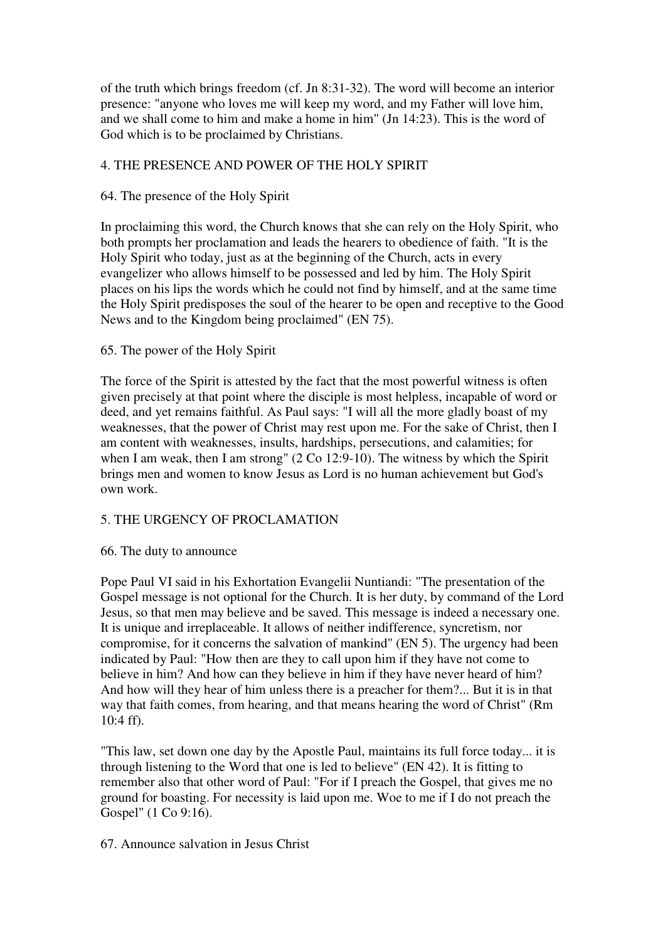of the truth which brings freedom (cf. Jn 8:31-32). The word will become an interior presence: "anyone who loves me will keep my word, and my Father will love him, and we shall come to him and make a home in him" (Jn 14:23). This is the word of God which is to be proclaimed by Christians.

## 4. THE PRESENCE AND POWER OF THE HOLY SPIRIT

## 64. The presence of the Holy Spirit

In proclaiming this word, the Church knows that she can rely on the Holy Spirit, who both prompts her proclamation and leads the hearers to obedience of faith. "It is the Holy Spirit who today, just as at the beginning of the Church, acts in every evangelizer who allows himself to be possessed and led by him. The Holy Spirit places on his lips the words which he could not find by himself, and at the same time the Holy Spirit predisposes the soul of the hearer to be open and receptive to the Good News and to the Kingdom being proclaimed" (EN 75).

## 65. The power of the Holy Spirit

The force of the Spirit is attested by the fact that the most powerful witness is often given precisely at that point where the disciple is most helpless, incapable of word or deed, and yet remains faithful. As Paul says: "I will all the more gladly boast of my weaknesses, that the power of Christ may rest upon me. For the sake of Christ, then I am content with weaknesses, insults, hardships, persecutions, and calamities; for when I am weak, then I am strong" (2 Co 12:9-10). The witness by which the Spirit brings men and women to know Jesus as Lord is no human achievement but God's own work.

# 5. THE URGENCY OF PROCLAMATION

## 66. The duty to announce

Pope Paul VI said in his Exhortation Evangelii Nuntiandi: "The presentation of the Gospel message is not optional for the Church. It is her duty, by command of the Lord Jesus, so that men may believe and be saved. This message is indeed a necessary one. It is unique and irreplaceable. It allows of neither indifference, syncretism, nor compromise, for it concerns the salvation of mankind" (EN 5). The urgency had been indicated by Paul: "How then are they to call upon him if they have not come to believe in him? And how can they believe in him if they have never heard of him? And how will they hear of him unless there is a preacher for them?... But it is in that way that faith comes, from hearing, and that means hearing the word of Christ" (Rm 10:4 ff).

"This law, set down one day by the Apostle Paul, maintains its full force today... it is through listening to the Word that one is led to believe" (EN 42). It is fitting to remember also that other word of Paul: "For if I preach the Gospel, that gives me no ground for boasting. For necessity is laid upon me. Woe to me if I do not preach the Gospel" (1 Co 9:16).

## 67. Announce salvation in Jesus Christ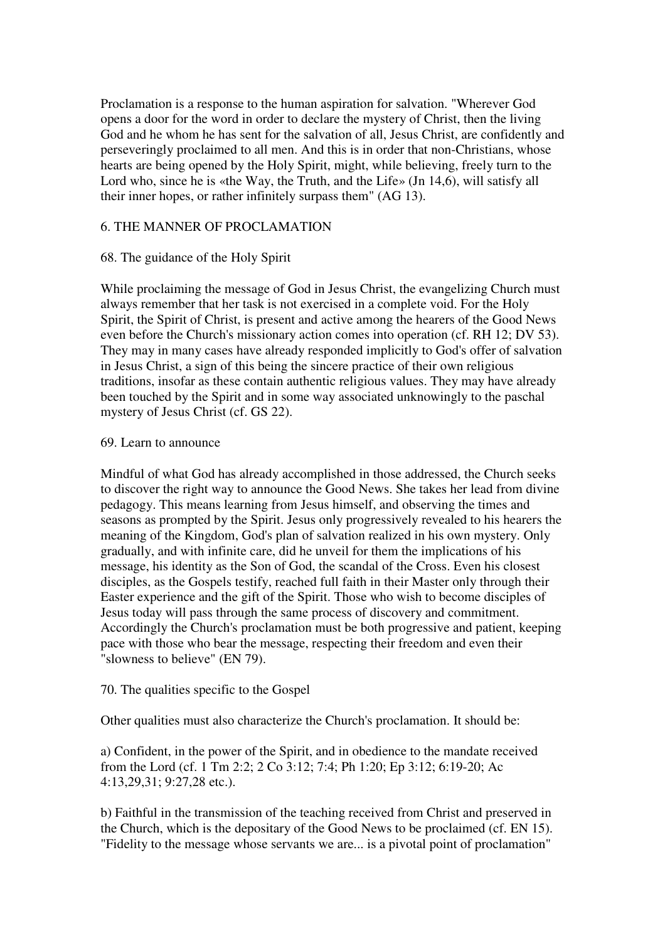Proclamation is a response to the human aspiration for salvation. "Wherever God opens a door for the word in order to declare the mystery of Christ, then the living God and he whom he has sent for the salvation of all, Jesus Christ, are confidently and perseveringly proclaimed to all men. And this is in order that non-Christians, whose hearts are being opened by the Holy Spirit, might, while believing, freely turn to the Lord who, since he is «the Way, the Truth, and the Life» (Jn 14,6), will satisfy all their inner hopes, or rather infinitely surpass them" (AG 13).

# 6. THE MANNER OF PROCLAMATION

## 68. The guidance of the Holy Spirit

While proclaiming the message of God in Jesus Christ, the evangelizing Church must always remember that her task is not exercised in a complete void. For the Holy Spirit, the Spirit of Christ, is present and active among the hearers of the Good News even before the Church's missionary action comes into operation (cf. RH 12; DV 53). They may in many cases have already responded implicitly to God's offer of salvation in Jesus Christ, a sign of this being the sincere practice of their own religious traditions, insofar as these contain authentic religious values. They may have already been touched by the Spirit and in some way associated unknowingly to the paschal mystery of Jesus Christ (cf. GS 22).

#### 69. Learn to announce

Mindful of what God has already accomplished in those addressed, the Church seeks to discover the right way to announce the Good News. She takes her lead from divine pedagogy. This means learning from Jesus himself, and observing the times and seasons as prompted by the Spirit. Jesus only progressively revealed to his hearers the meaning of the Kingdom, God's plan of salvation realized in his own mystery. Only gradually, and with infinite care, did he unveil for them the implications of his message, his identity as the Son of God, the scandal of the Cross. Even his closest disciples, as the Gospels testify, reached full faith in their Master only through their Easter experience and the gift of the Spirit. Those who wish to become disciples of Jesus today will pass through the same process of discovery and commitment. Accordingly the Church's proclamation must be both progressive and patient, keeping pace with those who bear the message, respecting their freedom and even their "slowness to believe" (EN 79).

## 70. The qualities specific to the Gospel

Other qualities must also characterize the Church's proclamation. It should be:

a) Confident, in the power of the Spirit, and in obedience to the mandate received from the Lord (cf. 1 Tm 2:2; 2 Co 3:12; 7:4; Ph 1:20; Ep 3:12; 6:19-20; Ac 4:13,29,31; 9:27,28 etc.).

b) Faithful in the transmission of the teaching received from Christ and preserved in the Church, which is the depositary of the Good News to be proclaimed (cf. EN 15). "Fidelity to the message whose servants we are... is a pivotal point of proclamation"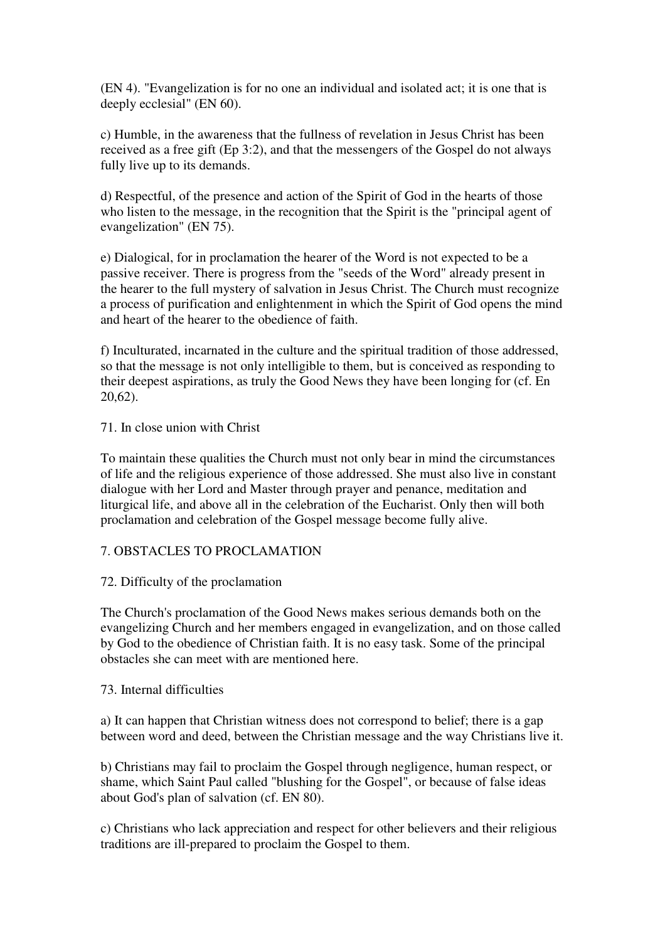(EN 4). "Evangelization is for no one an individual and isolated act; it is one that is deeply ecclesial" (EN 60).

c) Humble, in the awareness that the fullness of revelation in Jesus Christ has been received as a free gift (Ep 3:2), and that the messengers of the Gospel do not always fully live up to its demands.

d) Respectful, of the presence and action of the Spirit of God in the hearts of those who listen to the message, in the recognition that the Spirit is the "principal agent of evangelization" (EN 75).

e) Dialogical, for in proclamation the hearer of the Word is not expected to be a passive receiver. There is progress from the "seeds of the Word" already present in the hearer to the full mystery of salvation in Jesus Christ. The Church must recognize a process of purification and enlightenment in which the Spirit of God opens the mind and heart of the hearer to the obedience of faith.

f) Inculturated, incarnated in the culture and the spiritual tradition of those addressed, so that the message is not only intelligible to them, but is conceived as responding to their deepest aspirations, as truly the Good News they have been longing for (cf. En 20,62).

71. In close union with Christ

To maintain these qualities the Church must not only bear in mind the circumstances of life and the religious experience of those addressed. She must also live in constant dialogue with her Lord and Master through prayer and penance, meditation and liturgical life, and above all in the celebration of the Eucharist. Only then will both proclamation and celebration of the Gospel message become fully alive.

## 7. OBSTACLES TO PROCLAMATION

72. Difficulty of the proclamation

The Church's proclamation of the Good News makes serious demands both on the evangelizing Church and her members engaged in evangelization, and on those called by God to the obedience of Christian faith. It is no easy task. Some of the principal obstacles she can meet with are mentioned here.

#### 73. Internal difficulties

a) It can happen that Christian witness does not correspond to belief; there is a gap between word and deed, between the Christian message and the way Christians live it.

b) Christians may fail to proclaim the Gospel through negligence, human respect, or shame, which Saint Paul called "blushing for the Gospel", or because of false ideas about God's plan of salvation (cf. EN 80).

c) Christians who lack appreciation and respect for other believers and their religious traditions are ill-prepared to proclaim the Gospel to them.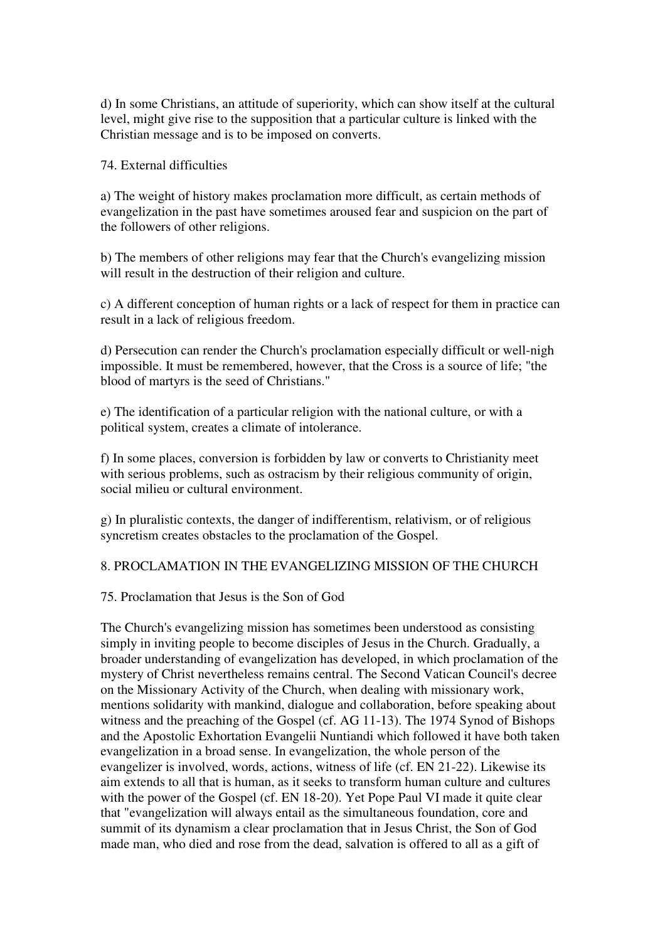d) In some Christians, an attitude of superiority, which can show itself at the cultural level, might give rise to the supposition that a particular culture is linked with the Christian message and is to be imposed on converts.

74. External difficulties

a) The weight of history makes proclamation more difficult, as certain methods of evangelization in the past have sometimes aroused fear and suspicion on the part of the followers of other religions.

b) The members of other religions may fear that the Church's evangelizing mission will result in the destruction of their religion and culture.

c) A different conception of human rights or a lack of respect for them in practice can result in a lack of religious freedom.

d) Persecution can render the Church's proclamation especially difficult or well-nigh impossible. It must be remembered, however, that the Cross is a source of life; "the blood of martyrs is the seed of Christians."

e) The identification of a particular religion with the national culture, or with a political system, creates a climate of intolerance.

f) In some places, conversion is forbidden by law or converts to Christianity meet with serious problems, such as ostracism by their religious community of origin, social milieu or cultural environment.

g) In pluralistic contexts, the danger of indifferentism, relativism, or of religious syncretism creates obstacles to the proclamation of the Gospel.

## 8. PROCLAMATION IN THE EVANGELIZING MISSION OF THE CHURCH

## 75. Proclamation that Jesus is the Son of God

The Church's evangelizing mission has sometimes been understood as consisting simply in inviting people to become disciples of Jesus in the Church. Gradually, a broader understanding of evangelization has developed, in which proclamation of the mystery of Christ nevertheless remains central. The Second Vatican Council's decree on the Missionary Activity of the Church, when dealing with missionary work, mentions solidarity with mankind, dialogue and collaboration, before speaking about witness and the preaching of the Gospel (cf. AG 11-13). The 1974 Synod of Bishops and the Apostolic Exhortation Evangelii Nuntiandi which followed it have both taken evangelization in a broad sense. In evangelization, the whole person of the evangelizer is involved, words, actions, witness of life (cf. EN 21-22). Likewise its aim extends to all that is human, as it seeks to transform human culture and cultures with the power of the Gospel (cf. EN 18-20). Yet Pope Paul VI made it quite clear that "evangelization will always entail as the simultaneous foundation, core and summit of its dynamism a clear proclamation that in Jesus Christ, the Son of God made man, who died and rose from the dead, salvation is offered to all as a gift of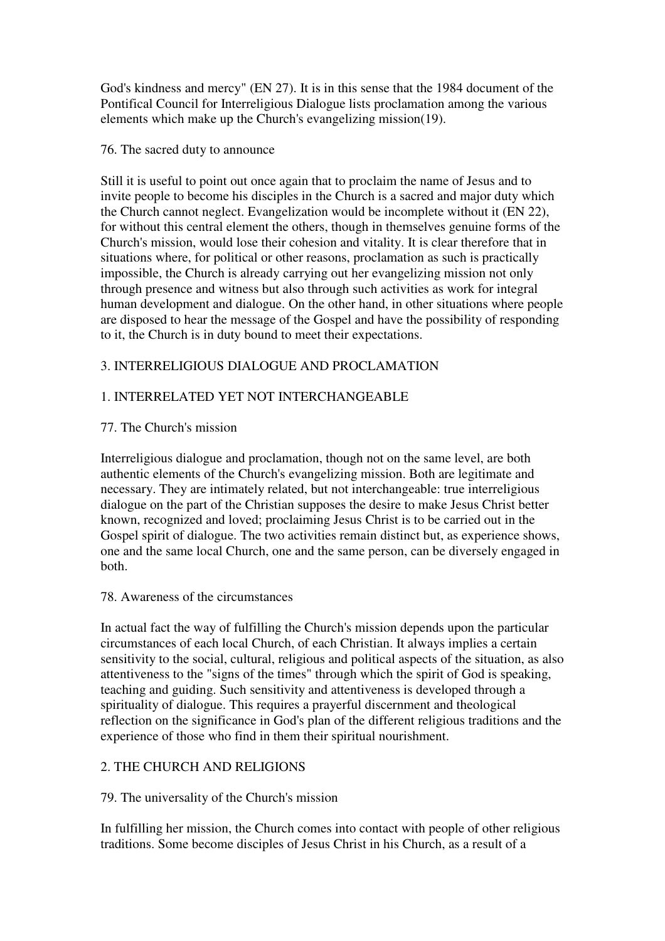God's kindness and mercy" (EN 27). It is in this sense that the 1984 document of the Pontifical Council for Interreligious Dialogue lists proclamation among the various elements which make up the Church's evangelizing mission(19).

## 76. The sacred duty to announce

Still it is useful to point out once again that to proclaim the name of Jesus and to invite people to become his disciples in the Church is a sacred and major duty which the Church cannot neglect. Evangelization would be incomplete without it (EN 22), for without this central element the others, though in themselves genuine forms of the Church's mission, would lose their cohesion and vitality. It is clear therefore that in situations where, for political or other reasons, proclamation as such is practically impossible, the Church is already carrying out her evangelizing mission not only through presence and witness but also through such activities as work for integral human development and dialogue. On the other hand, in other situations where people are disposed to hear the message of the Gospel and have the possibility of responding to it, the Church is in duty bound to meet their expectations.

# 3. INTERRELIGIOUS DIALOGUE AND PROCLAMATION

# 1. INTERRELATED YET NOT INTERCHANGEABLE

# 77. The Church's mission

Interreligious dialogue and proclamation, though not on the same level, are both authentic elements of the Church's evangelizing mission. Both are legitimate and necessary. They are intimately related, but not interchangeable: true interreligious dialogue on the part of the Christian supposes the desire to make Jesus Christ better known, recognized and loved; proclaiming Jesus Christ is to be carried out in the Gospel spirit of dialogue. The two activities remain distinct but, as experience shows, one and the same local Church, one and the same person, can be diversely engaged in both.

## 78. Awareness of the circumstances

In actual fact the way of fulfilling the Church's mission depends upon the particular circumstances of each local Church, of each Christian. It always implies a certain sensitivity to the social, cultural, religious and political aspects of the situation, as also attentiveness to the "signs of the times" through which the spirit of God is speaking, teaching and guiding. Such sensitivity and attentiveness is developed through a spirituality of dialogue. This requires a prayerful discernment and theological reflection on the significance in God's plan of the different religious traditions and the experience of those who find in them their spiritual nourishment.

# 2. THE CHURCH AND RELIGIONS

## 79. The universality of the Church's mission

In fulfilling her mission, the Church comes into contact with people of other religious traditions. Some become disciples of Jesus Christ in his Church, as a result of a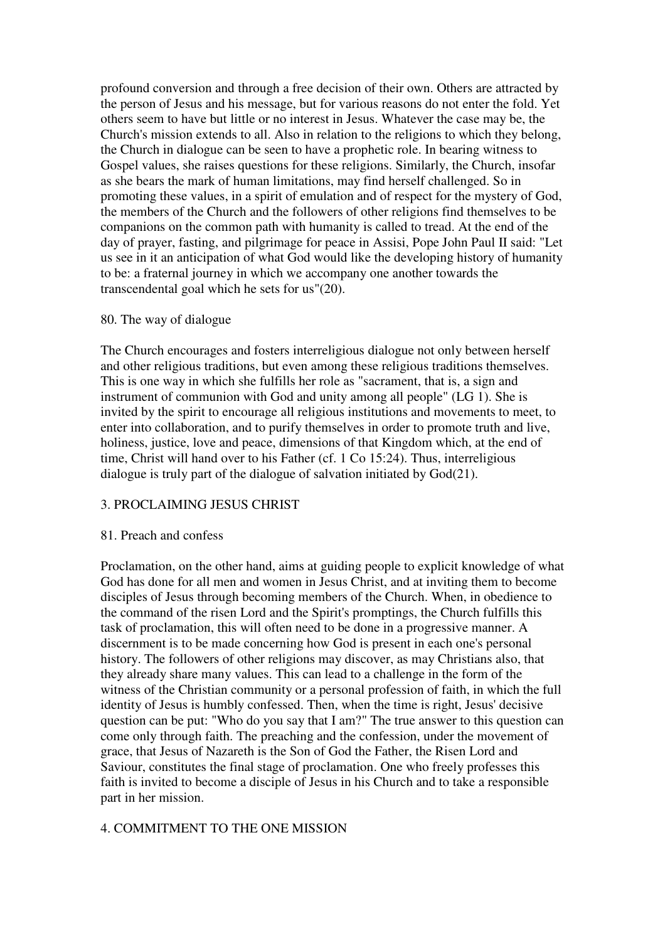profound conversion and through a free decision of their own. Others are attracted by the person of Jesus and his message, but for various reasons do not enter the fold. Yet others seem to have but little or no interest in Jesus. Whatever the case may be, the Church's mission extends to all. Also in relation to the religions to which they belong, the Church in dialogue can be seen to have a prophetic role. In bearing witness to Gospel values, she raises questions for these religions. Similarly, the Church, insofar as she bears the mark of human limitations, may find herself challenged. So in promoting these values, in a spirit of emulation and of respect for the mystery of God, the members of the Church and the followers of other religions find themselves to be companions on the common path with humanity is called to tread. At the end of the day of prayer, fasting, and pilgrimage for peace in Assisi, Pope John Paul II said: "Let us see in it an anticipation of what God would like the developing history of humanity to be: a fraternal journey in which we accompany one another towards the transcendental goal which he sets for us"(20).

#### 80. The way of dialogue

The Church encourages and fosters interreligious dialogue not only between herself and other religious traditions, but even among these religious traditions themselves. This is one way in which she fulfills her role as "sacrament, that is, a sign and instrument of communion with God and unity among all people" (LG 1). She is invited by the spirit to encourage all religious institutions and movements to meet, to enter into collaboration, and to purify themselves in order to promote truth and live, holiness, justice, love and peace, dimensions of that Kingdom which, at the end of time, Christ will hand over to his Father (cf. 1 Co 15:24). Thus, interreligious dialogue is truly part of the dialogue of salvation initiated by God(21).

## 3. PROCLAIMING JESUS CHRIST

#### 81. Preach and confess

Proclamation, on the other hand, aims at guiding people to explicit knowledge of what God has done for all men and women in Jesus Christ, and at inviting them to become disciples of Jesus through becoming members of the Church. When, in obedience to the command of the risen Lord and the Spirit's promptings, the Church fulfills this task of proclamation, this will often need to be done in a progressive manner. A discernment is to be made concerning how God is present in each one's personal history. The followers of other religions may discover, as may Christians also, that they already share many values. This can lead to a challenge in the form of the witness of the Christian community or a personal profession of faith, in which the full identity of Jesus is humbly confessed. Then, when the time is right, Jesus' decisive question can be put: "Who do you say that I am?" The true answer to this question can come only through faith. The preaching and the confession, under the movement of grace, that Jesus of Nazareth is the Son of God the Father, the Risen Lord and Saviour, constitutes the final stage of proclamation. One who freely professes this faith is invited to become a disciple of Jesus in his Church and to take a responsible part in her mission.

## 4. COMMITMENT TO THE ONE MISSION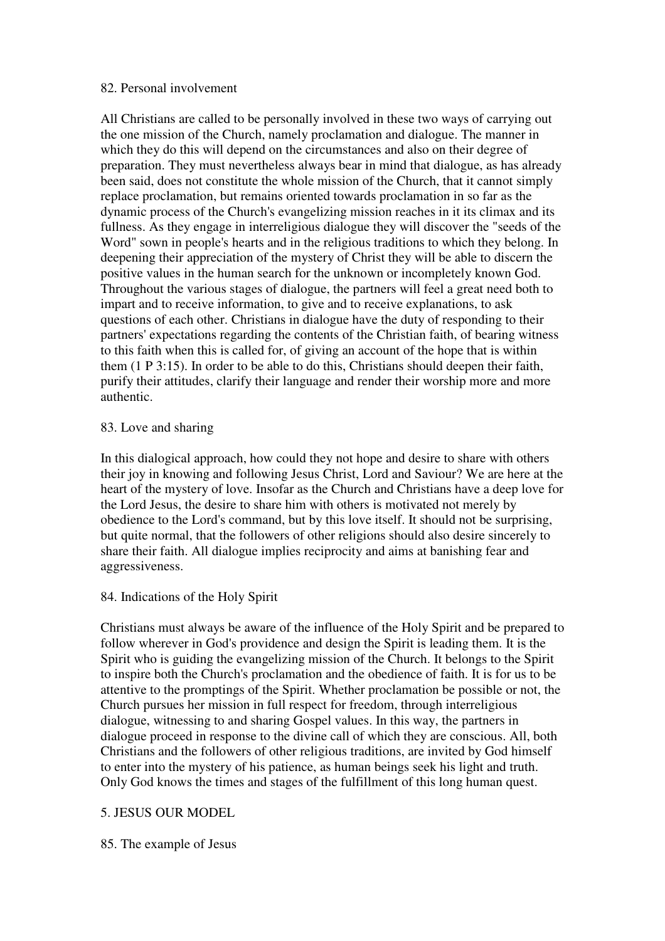#### 82. Personal involvement

All Christians are called to be personally involved in these two ways of carrying out the one mission of the Church, namely proclamation and dialogue. The manner in which they do this will depend on the circumstances and also on their degree of preparation. They must nevertheless always bear in mind that dialogue, as has already been said, does not constitute the whole mission of the Church, that it cannot simply replace proclamation, but remains oriented towards proclamation in so far as the dynamic process of the Church's evangelizing mission reaches in it its climax and its fullness. As they engage in interreligious dialogue they will discover the "seeds of the Word" sown in people's hearts and in the religious traditions to which they belong. In deepening their appreciation of the mystery of Christ they will be able to discern the positive values in the human search for the unknown or incompletely known God. Throughout the various stages of dialogue, the partners will feel a great need both to impart and to receive information, to give and to receive explanations, to ask questions of each other. Christians in dialogue have the duty of responding to their partners' expectations regarding the contents of the Christian faith, of bearing witness to this faith when this is called for, of giving an account of the hope that is within them (1 P 3:15). In order to be able to do this, Christians should deepen their faith, purify their attitudes, clarify their language and render their worship more and more authentic.

## 83. Love and sharing

In this dialogical approach, how could they not hope and desire to share with others their joy in knowing and following Jesus Christ, Lord and Saviour? We are here at the heart of the mystery of love. Insofar as the Church and Christians have a deep love for the Lord Jesus, the desire to share him with others is motivated not merely by obedience to the Lord's command, but by this love itself. It should not be surprising, but quite normal, that the followers of other religions should also desire sincerely to share their faith. All dialogue implies reciprocity and aims at banishing fear and aggressiveness.

## 84. Indications of the Holy Spirit

Christians must always be aware of the influence of the Holy Spirit and be prepared to follow wherever in God's providence and design the Spirit is leading them. It is the Spirit who is guiding the evangelizing mission of the Church. It belongs to the Spirit to inspire both the Church's proclamation and the obedience of faith. It is for us to be attentive to the promptings of the Spirit. Whether proclamation be possible or not, the Church pursues her mission in full respect for freedom, through interreligious dialogue, witnessing to and sharing Gospel values. In this way, the partners in dialogue proceed in response to the divine call of which they are conscious. All, both Christians and the followers of other religious traditions, are invited by God himself to enter into the mystery of his patience, as human beings seek his light and truth. Only God knows the times and stages of the fulfillment of this long human quest.

# 5. JESUS OUR MODEL

## 85. The example of Jesus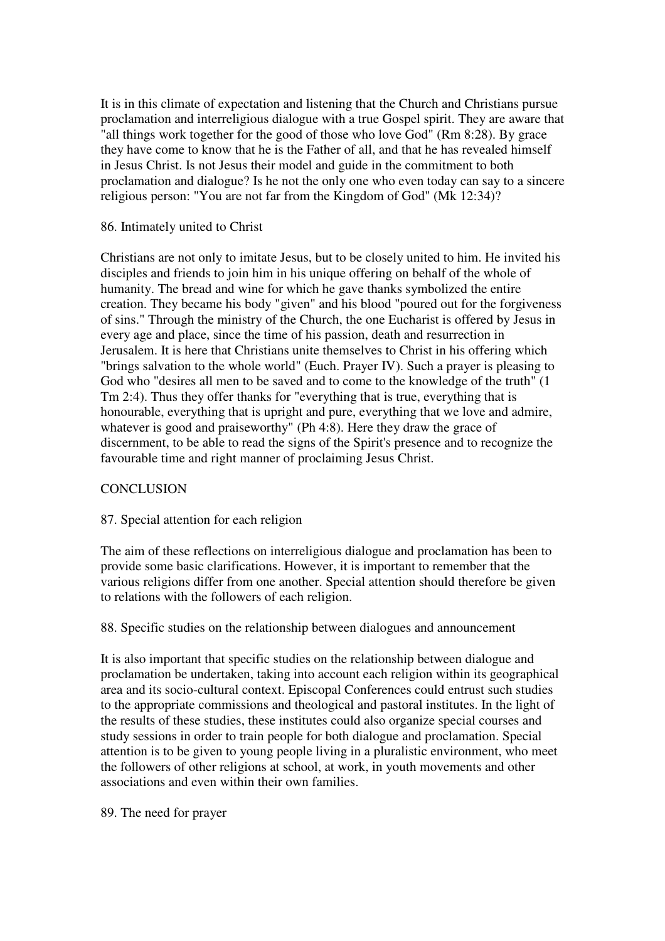It is in this climate of expectation and listening that the Church and Christians pursue proclamation and interreligious dialogue with a true Gospel spirit. They are aware that "all things work together for the good of those who love God" (Rm 8:28). By grace they have come to know that he is the Father of all, and that he has revealed himself in Jesus Christ. Is not Jesus their model and guide in the commitment to both proclamation and dialogue? Is he not the only one who even today can say to a sincere religious person: "You are not far from the Kingdom of God" (Mk 12:34)?

## 86. Intimately united to Christ

Christians are not only to imitate Jesus, but to be closely united to him. He invited his disciples and friends to join him in his unique offering on behalf of the whole of humanity. The bread and wine for which he gave thanks symbolized the entire creation. They became his body "given" and his blood "poured out for the forgiveness of sins." Through the ministry of the Church, the one Eucharist is offered by Jesus in every age and place, since the time of his passion, death and resurrection in Jerusalem. It is here that Christians unite themselves to Christ in his offering which "brings salvation to the whole world" (Euch. Prayer IV). Such a prayer is pleasing to God who "desires all men to be saved and to come to the knowledge of the truth" (1 Tm 2:4). Thus they offer thanks for "everything that is true, everything that is honourable, everything that is upright and pure, everything that we love and admire, whatever is good and praiseworthy" (Ph 4:8). Here they draw the grace of discernment, to be able to read the signs of the Spirit's presence and to recognize the favourable time and right manner of proclaiming Jesus Christ.

## **CONCLUSION**

# 87. Special attention for each religion

The aim of these reflections on interreligious dialogue and proclamation has been to provide some basic clarifications. However, it is important to remember that the various religions differ from one another. Special attention should therefore be given to relations with the followers of each religion.

88. Specific studies on the relationship between dialogues and announcement

It is also important that specific studies on the relationship between dialogue and proclamation be undertaken, taking into account each religion within its geographical area and its socio-cultural context. Episcopal Conferences could entrust such studies to the appropriate commissions and theological and pastoral institutes. In the light of the results of these studies, these institutes could also organize special courses and study sessions in order to train people for both dialogue and proclamation. Special attention is to be given to young people living in a pluralistic environment, who meet the followers of other religions at school, at work, in youth movements and other associations and even within their own families.

89. The need for prayer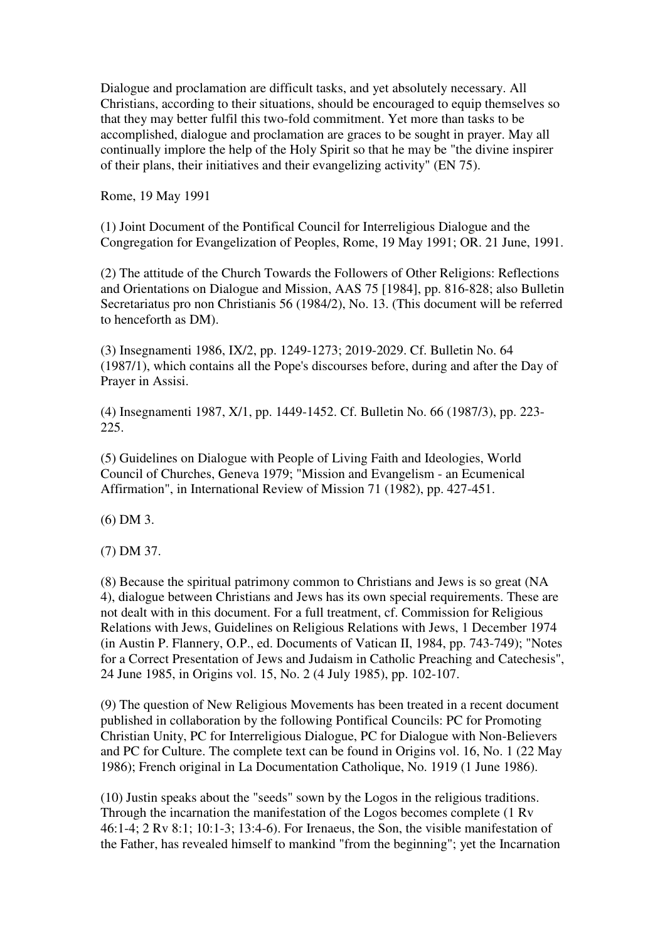Dialogue and proclamation are difficult tasks, and yet absolutely necessary. All Christians, according to their situations, should be encouraged to equip themselves so that they may better fulfil this two-fold commitment. Yet more than tasks to be accomplished, dialogue and proclamation are graces to be sought in prayer. May all continually implore the help of the Holy Spirit so that he may be "the divine inspirer of their plans, their initiatives and their evangelizing activity" (EN 75).

Rome, 19 May 1991

(1) Joint Document of the Pontifical Council for Interreligious Dialogue and the Congregation for Evangelization of Peoples, Rome, 19 May 1991; OR. 21 June, 1991.

(2) The attitude of the Church Towards the Followers of Other Religions: Reflections and Orientations on Dialogue and Mission, AAS 75 [1984], pp. 816-828; also Bulletin Secretariatus pro non Christianis 56 (1984/2), No. 13. (This document will be referred to henceforth as DM).

(3) Insegnamenti 1986, IX/2, pp. 1249-1273; 2019-2029. Cf. Bulletin No. 64 (1987/1), which contains all the Pope's discourses before, during and after the Day of Prayer in Assisi.

(4) Insegnamenti 1987, X/1, pp. 1449-1452. Cf. Bulletin No. 66 (1987/3), pp. 223- 225.

(5) Guidelines on Dialogue with People of Living Faith and Ideologies, World Council of Churches, Geneva 1979; "Mission and Evangelism - an Ecumenical Affirmation", in International Review of Mission 71 (1982), pp. 427-451.

(6) DM 3.

(7) DM 37.

(8) Because the spiritual patrimony common to Christians and Jews is so great (NA 4), dialogue between Christians and Jews has its own special requirements. These are not dealt with in this document. For a full treatment, cf. Commission for Religious Relations with Jews, Guidelines on Religious Relations with Jews, 1 December 1974 (in Austin P. Flannery, O.P., ed. Documents of Vatican II, 1984, pp. 743-749); "Notes for a Correct Presentation of Jews and Judaism in Catholic Preaching and Catechesis", 24 June 1985, in Origins vol. 15, No. 2 (4 July 1985), pp. 102-107.

(9) The question of New Religious Movements has been treated in a recent document published in collaboration by the following Pontifical Councils: PC for Promoting Christian Unity, PC for Interreligious Dialogue, PC for Dialogue with Non-Believers and PC for Culture. The complete text can be found in Origins vol. 16, No. 1 (22 May 1986); French original in La Documentation Catholique, No. 1919 (1 June 1986).

(10) Justin speaks about the "seeds" sown by the Logos in the religious traditions. Through the incarnation the manifestation of the Logos becomes complete (1 Rv 46:1-4; 2 Rv 8:1; 10:1-3; 13:4-6). For Irenaeus, the Son, the visible manifestation of the Father, has revealed himself to mankind "from the beginning"; yet the Incarnation